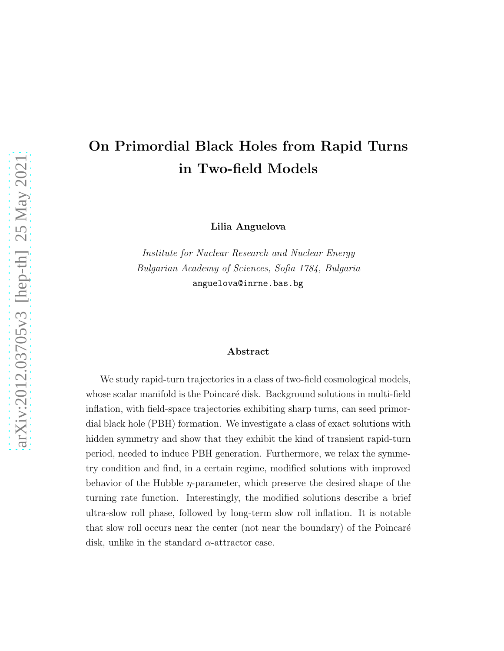# On Primordial Black Holes from Rapid Turns in Two-field Models

Lilia Anguelova

Institute for Nuclear Research and Nuclear Energy Bulgarian Academy of Sciences, Sofia 1784, Bulgaria anguelova@inrne.bas.bg

#### Abstract

We study rapid-turn trajectories in a class of two-field cosmological models, whose scalar manifold is the Poincaré disk. Background solutions in multi-field inflation, with field-space trajectories exhibiting sharp turns, can seed primordial black hole (PBH) formation. We investigate a class of exact solutions with hidden symmetry and show that they exhibit the kind of transient rapid-turn period, needed to induce PBH generation. Furthermore, we relax the symmetry condition and find, in a certain regime, modified solutions with improved behavior of the Hubble  $\eta$ -parameter, which preserve the desired shape of the turning rate function. Interestingly, the modified solutions describe a brief ultra-slow roll phase, followed by long-term slow roll inflation. It is notable that slow roll occurs near the center (not near the boundary) of the Poincaré disk, unlike in the standard  $\alpha$ -attractor case.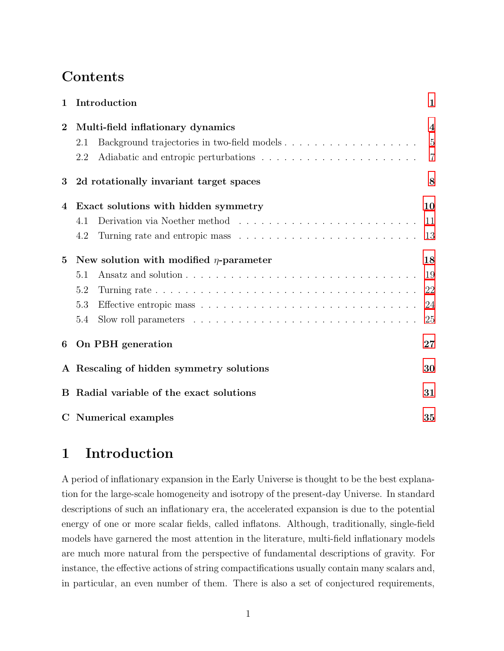## Contents

| 1              | Introduction                                                                                   | 1              |
|----------------|------------------------------------------------------------------------------------------------|----------------|
| $\overline{2}$ | Multi-field inflationary dynamics                                                              | $\overline{4}$ |
|                | Background trajectories in two-field models<br>2.1                                             | 5              |
|                | 2.2                                                                                            | $\overline{7}$ |
| 3              | 2d rotationally invariant target spaces                                                        | 8              |
| 4              | Exact solutions with hidden symmetry                                                           | 10             |
|                | Derivation via Noether method $\ldots \ldots \ldots \ldots \ldots \ldots \ldots \ldots$<br>4.1 | 11             |
|                | 4.2                                                                                            | 13             |
| $\bf{5}$       | New solution with modified $\eta$ -parameter                                                   | 18             |
|                | 5.1                                                                                            | 19             |
|                | 5.2                                                                                            | 22             |
|                | 5.3                                                                                            | 24             |
|                | 5.4                                                                                            | 25             |
| 6              | On PBH generation                                                                              | 27             |
|                | A Rescaling of hidden symmetry solutions                                                       | 30             |
|                | B Radial variable of the exact solutions                                                       | 31             |
|                | C Numerical examples                                                                           | 35             |

# <span id="page-1-0"></span>1 Introduction

A period of inflationary expansion in the Early Universe is thought to be the best explanation for the large-scale homogeneity and isotropy of the present-day Universe. In standard descriptions of such an inflationary era, the accelerated expansion is due to the potential energy of one or more scalar fields, called inflatons. Although, traditionally, single-field models have garnered the most attention in the literature, multi-field inflationary models are much more natural from the perspective of fundamental descriptions of gravity. For instance, the effective actions of string compactifications usually contain many scalars and, in particular, an even number of them. There is also a set of conjectured requirements,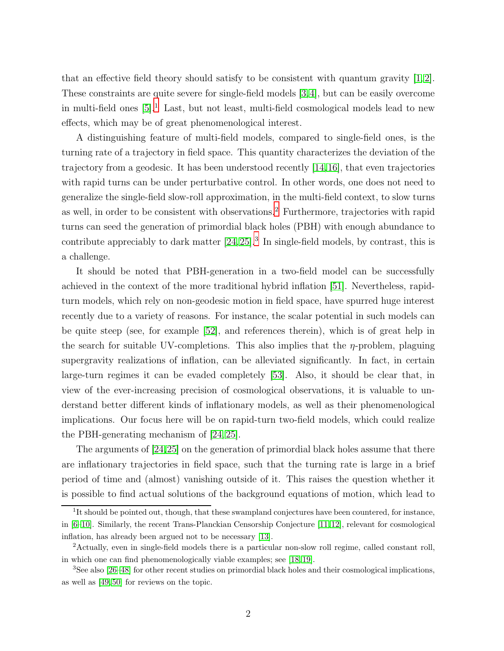that an effective field theory should satisfy to be consistent with quantum gravity [\[1,](#page-42-0) [2\]](#page-42-1). These constraints are quite severe for single-field models [\[3,](#page-42-2)[4\]](#page-42-3), but can be easily overcome in multi-field ones  $[5]$ <sup>[1](#page-2-0)</sup>. Last, but not least, multi-field cosmological models lead to new effects, which may be of great phenomenological interest.

A distinguishing feature of multi-field models, compared to single-field ones, is the turning rate of a trajectory in field space. This quantity characterizes the deviation of the trajectory from a geodesic. It has been understood recently [\[14,](#page-43-0)[16\]](#page-43-1), that even trajectories with rapid turns can be under perturbative control. In other words, one does not need to generalize the single-field slow-roll approximation, in the multi-field context, to slow turns as well, in order to be consistent with observations.<sup>[2](#page-2-1)</sup> Furthermore, trajectories with rapid turns can seed the generation of primordial black holes (PBH) with enough abundance to contribute appreciably to dark matter  $[24, 25]$  $[24, 25]$ .<sup>[3](#page-2-2)</sup> In single-field models, by contrast, this is a challenge.

It should be noted that PBH-generation in a two-field model can be successfully achieved in the context of the more traditional hybrid inflation [\[51\]](#page-46-0). Nevertheless, rapidturn models, which rely on non-geodesic motion in field space, have spurred huge interest recently due to a variety of reasons. For instance, the scalar potential in such models can be quite steep (see, for example [\[52\]](#page-46-1), and references therein), which is of great help in the search for suitable UV-completions. This also implies that the  $\eta$ -problem, plaguing supergravity realizations of inflation, can be alleviated significantly. In fact, in certain large-turn regimes it can be evaded completely [\[53\]](#page-46-2). Also, it should be clear that, in view of the ever-increasing precision of cosmological observations, it is valuable to understand better different kinds of inflationary models, as well as their phenomenological implications. Our focus here will be on rapid-turn two-field models, which could realize the PBH-generating mechanism of [\[24,](#page-44-0) [25\]](#page-44-1).

The arguments of [\[24,](#page-44-0)[25\]](#page-44-1) on the generation of primordial black holes assume that there are inflationary trajectories in field space, such that the turning rate is large in a brief period of time and (almost) vanishing outside of it. This raises the question whether it is possible to find actual solutions of the background equations of motion, which lead to

<span id="page-2-0"></span><sup>&</sup>lt;sup>1</sup>It should be pointed out, though, that these swampland conjectures have been countered, for instance, in [\[6](#page-42-5)[–10\]](#page-43-2). Similarly, the recent Trans-Planckian Censorship Conjecture [\[11,](#page-43-3) [12\]](#page-43-4), relevant for cosmological inflation, has already been argued not to be necessary [\[13\]](#page-43-5).

<span id="page-2-1"></span><sup>2</sup>Actually, even in single-field models there is a particular non-slow roll regime, called constant roll, in which one can find phenomenologically viable examples; see [\[18,](#page-43-6) [19\]](#page-44-2).

<span id="page-2-2"></span><sup>3</sup>See also [\[26–](#page-44-3)[48\]](#page-46-3) for other recent studies on primordial black holes and their cosmological implications, as well as [\[49,](#page-46-4) [50\]](#page-46-5) for reviews on the topic.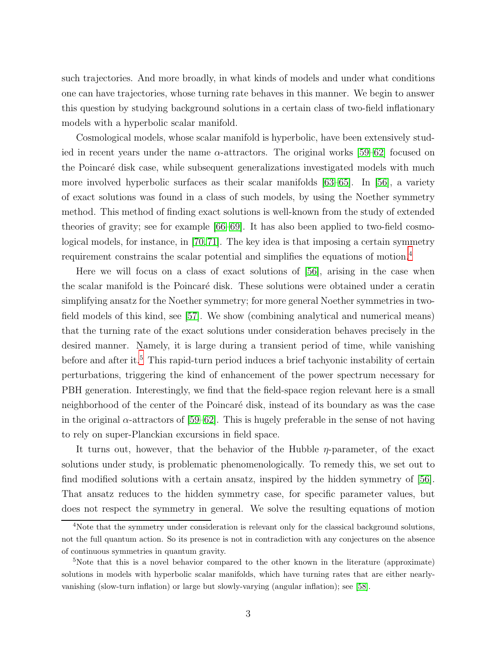such trajectories. And more broadly, in what kinds of models and under what conditions one can have trajectories, whose turning rate behaves in this manner. We begin to answer this question by studying background solutions in a certain class of two-field inflationary models with a hyperbolic scalar manifold.

Cosmological models, whose scalar manifold is hyperbolic, have been extensively studied in recent years under the name  $\alpha$ -attractors. The original works [\[59–](#page-47-0)[62\]](#page-47-1) focused on the Poincaré disk case, while subsequent generalizations investigated models with much more involved hyperbolic surfaces as their scalar manifolds [\[63–](#page-47-2)[65\]](#page-47-3). In [\[56\]](#page-47-4), a variety of exact solutions was found in a class of such models, by using the Noether symmetry method. This method of finding exact solutions is well-known from the study of extended theories of gravity; see for example [\[66](#page-47-5)[–69\]](#page-48-0). It has also been applied to two-field cosmological models, for instance, in [\[70,](#page-48-1)[71\]](#page-48-2). The key idea is that imposing a certain symmetry requirement constrains the scalar potential and simplifies the equations of motion.[4](#page-3-0)

Here we will focus on a class of exact solutions of [\[56\]](#page-47-4), arising in the case when the scalar manifold is the Poincaré disk. These solutions were obtained under a ceratin simplifying ansatz for the Noether symmetry; for more general Noether symmetries in twofield models of this kind, see [\[57\]](#page-47-6). We show (combining analytical and numerical means) that the turning rate of the exact solutions under consideration behaves precisely in the desired manner. Namely, it is large during a transient period of time, while vanishing before and after it.<sup>[5](#page-3-1)</sup> This rapid-turn period induces a brief tachyonic instability of certain perturbations, triggering the kind of enhancement of the power spectrum necessary for PBH generation. Interestingly, we find that the field-space region relevant here is a small neighborhood of the center of the Poincaré disk, instead of its boundary as was the case in the original  $\alpha$ -attractors of [\[59](#page-47-0)[–62\]](#page-47-1). This is hugely preferable in the sense of not having to rely on super-Planckian excursions in field space.

It turns out, however, that the behavior of the Hubble  $\eta$ -parameter, of the exact solutions under study, is problematic phenomenologically. To remedy this, we set out to find modified solutions with a certain ansatz, inspired by the hidden symmetry of [\[56\]](#page-47-4). That ansatz reduces to the hidden symmetry case, for specific parameter values, but does not respect the symmetry in general. We solve the resulting equations of motion

<span id="page-3-0"></span><sup>&</sup>lt;sup>4</sup>Note that the symmetry under consideration is relevant only for the classical background solutions, not the full quantum action. So its presence is not in contradiction with any conjectures on the absence of continuous symmetries in quantum gravity.

<span id="page-3-1"></span><sup>&</sup>lt;sup>5</sup>Note that this is a novel behavior compared to the other known in the literature (approximate) solutions in models with hyperbolic scalar manifolds, which have turning rates that are either nearlyvanishing (slow-turn inflation) or large but slowly-varying (angular inflation); see [\[58\]](#page-47-7).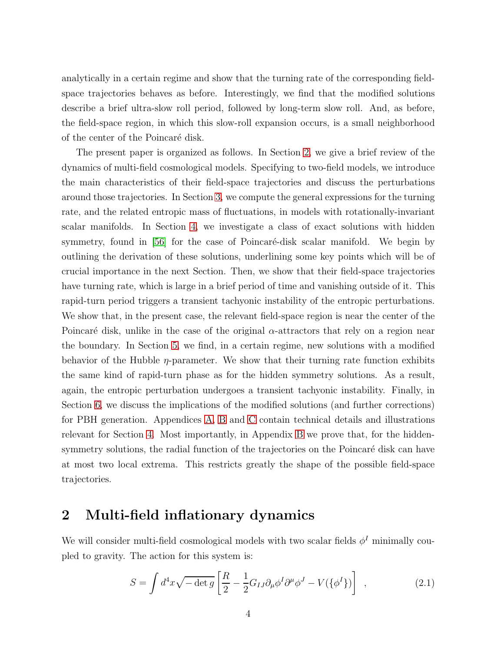analytically in a certain regime and show that the turning rate of the corresponding fieldspace trajectories behaves as before. Interestingly, we find that the modified solutions describe a brief ultra-slow roll period, followed by long-term slow roll. And, as before, the field-space region, in which this slow-roll expansion occurs, is a small neighborhood of the center of the Poincaré disk.

The present paper is organized as follows. In Section [2,](#page-4-0) we give a brief review of the dynamics of multi-field cosmological models. Specifying to two-field models, we introduce the main characteristics of their field-space trajectories and discuss the perturbations around those trajectories. In Section [3,](#page-8-0) we compute the general expressions for the turning rate, and the related entropic mass of fluctuations, in models with rotationally-invariant scalar manifolds. In Section [4,](#page-10-0) we investigate a class of exact solutions with hidden symmetry, found in [\[56\]](#page-47-4) for the case of Poincaré-disk scalar manifold. We begin by outlining the derivation of these solutions, underlining some key points which will be of crucial importance in the next Section. Then, we show that their field-space trajectories have turning rate, which is large in a brief period of time and vanishing outside of it. This rapid-turn period triggers a transient tachyonic instability of the entropic perturbations. We show that, in the present case, the relevant field-space region is near the center of the Poincaré disk, unlike in the case of the original  $\alpha$ -attractors that rely on a region near the boundary. In Section [5,](#page-18-0) we find, in a certain regime, new solutions with a modified behavior of the Hubble  $\eta$ -parameter. We show that their turning rate function exhibits the same kind of rapid-turn phase as for the hidden symmetry solutions. As a result, again, the entropic perturbation undergoes a transient tachyonic instability. Finally, in Section [6,](#page-27-0) we discuss the implications of the modified solutions (and further corrections) for PBH generation. Appendices [A,](#page-30-0) [B](#page-31-0) and [C](#page-35-0) contain technical details and illustrations relevant for Section [4.](#page-10-0) Most importantly, in Appendix [B](#page-31-0) we prove that, for the hiddensymmetry solutions, the radial function of the trajectories on the Poincaré disk can have at most two local extrema. This restricts greatly the shape of the possible field-space trajectories.

### <span id="page-4-0"></span>2 Multi-field inflationary dynamics

We will consider multi-field cosmological models with two scalar fields  $\phi^I$  minimally coupled to gravity. The action for this system is:

<span id="page-4-1"></span>
$$
S = \int d^4x \sqrt{-\det g} \left[ \frac{R}{2} - \frac{1}{2} G_{IJ} \partial_\mu \phi^I \partial^\mu \phi^J - V(\{\phi^I\}) \right] , \qquad (2.1)
$$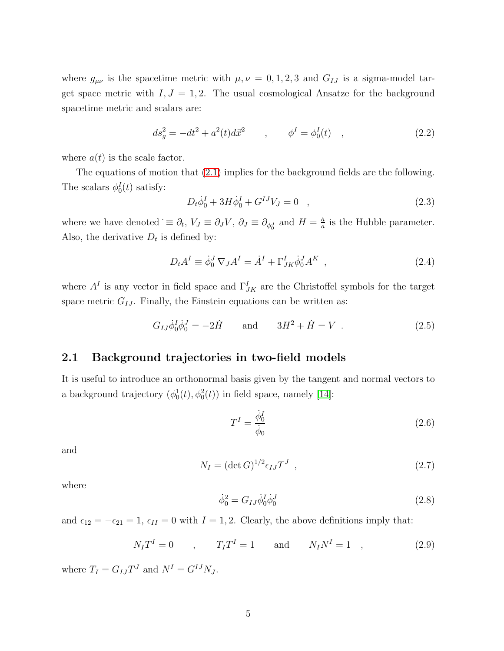where  $g_{\mu\nu}$  is the spacetime metric with  $\mu, \nu = 0, 1, 2, 3$  and  $G_{IJ}$  is a sigma-model target space metric with  $I, J = 1, 2$ . The usual cosmological Ansatze for the background spacetime metric and scalars are:

<span id="page-5-5"></span>
$$
ds_g^2 = -dt^2 + a^2(t)d\vec{x}^2 \qquad , \qquad \phi^I = \phi_0^I(t) \quad , \tag{2.2}
$$

where  $a(t)$  is the scale factor.

The equations of motion that [\(2.1\)](#page-4-1) implies for the background fields are the following. The scalars  $\phi_0^I(t)$  satisfy:

<span id="page-5-2"></span>
$$
D_t \dot{\phi}_0^I + 3H \dot{\phi}_0^I + G^{IJ} V_J = 0 \quad , \tag{2.3}
$$

where we have denoted  $\dot{\equiv} \partial_t$ ,  $V_J \equiv \partial_J V$ ,  $\partial_J \equiv \partial_{\phi_0^J}$  and  $H = \frac{\dot{a}}{a}$  $\frac{a}{a}$  is the Hubble parameter. Also, the derivative  $D_t$  is defined by:

$$
D_t A^I \equiv \dot{\phi}_0^J \nabla_J A^I = \dot{A}^I + \Gamma^I_{JK} \dot{\phi}_0^J A^K \quad , \tag{2.4}
$$

where  $A<sup>I</sup>$  is any vector in field space and  $\Gamma_{JK}^I$  are the Christoffel symbols for the target space metric  $G_{IJ}$ . Finally, the Einstein equations can be written as:

<span id="page-5-4"></span>
$$
G_{IJ}\dot{\phi}_0^I\dot{\phi}_0^J = -2\dot{H} \quad \text{and} \quad 3H^2 + \dot{H} = V \ . \tag{2.5}
$$

#### <span id="page-5-0"></span>2.1 Background trajectories in two-field models

It is useful to introduce an orthonormal basis given by the tangent and normal vectors to a background trajectory  $(\phi_0^1(t), \phi_0^2(t))$  in field space, namely [\[14\]](#page-43-0):

$$
T^I = \frac{\dot{\phi}_0^I}{\dot{\phi}_0} \tag{2.6}
$$

and

$$
N_I = (\det G)^{1/2} \epsilon_{IJ} T^J \tag{2.7}
$$

where

<span id="page-5-3"></span>
$$
\dot{\phi}_0^2 = G_{IJ}\dot{\phi}_0^I\dot{\phi}_0^J\tag{2.8}
$$

and  $\epsilon_{12} = -\epsilon_{21} = 1$ ,  $\epsilon_{II} = 0$  with  $I = 1, 2$ . Clearly, the above definitions imply that:

<span id="page-5-1"></span>
$$
N_I T^I = 0
$$
,  $T_I T^I = 1$  and  $N_I N^I = 1$ , (2.9)

where  $T_I = G_{IJ} T^J$  and  $N^I = G^{IJ} N_J$ .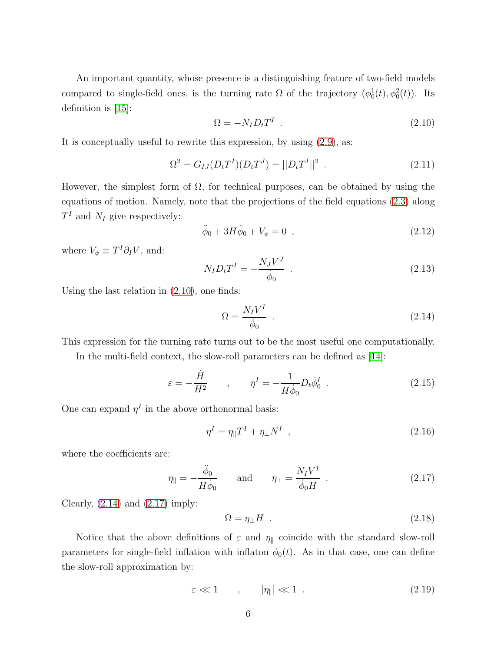An important quantity, whose presence is a distinguishing feature of two-field models compared to single-field ones, is the turning rate  $\Omega$  of the trajectory  $(\phi_0^1(t), \phi_0^2(t))$ . Its definition is [\[15\]](#page-43-7):

<span id="page-6-0"></span>
$$
\Omega = -N_I D_t T^I \tag{2.10}
$$

It is conceptually useful to rewrite this expression, by using [\(2.9\)](#page-5-1), as:

$$
\Omega^2 = G_{IJ}(D_t T^I)(D_t T^J) = ||D_t T^I||^2 \tag{2.11}
$$

However, the simplest form of  $\Omega$ , for technical purposes, can be obtained by using the equations of motion. Namely, note that the projections of the field equations [\(2.3\)](#page-5-2) along  $T<sup>I</sup>$  and  $N<sub>I</sub>$  give respectively:

$$
\ddot{\phi}_0 + 3H\dot{\phi}_0 + V_{\phi} = 0 \quad , \tag{2.12}
$$

where  $V_{\phi} \equiv T^{I} \partial_{I} V$ , and:

$$
N_I D_t T^I = -\frac{N_J V^J}{\dot{\phi}_0} \tag{2.13}
$$

Using the last relation in [\(2.10\)](#page-6-0), one finds:

<span id="page-6-1"></span>
$$
\Omega = \frac{N_I V^I}{\dot{\phi}_0} \tag{2.14}
$$

This expression for the turning rate turns out to be the most useful one computationally.

In the multi-field context, the slow-roll parameters can be defined as [\[14\]](#page-43-0):

$$
\varepsilon = -\frac{\dot{H}}{H^2} \qquad , \qquad \eta^I = -\frac{1}{H\dot{\phi}_0} D_t \dot{\phi}_0^I \qquad (2.15)
$$

One can expand  $\eta^I$  in the above orthonormal basis:

$$
\eta^I = \eta_{\parallel} T^I + \eta_{\perp} N^I \quad , \tag{2.16}
$$

where the coefficients are:

<span id="page-6-2"></span>
$$
\eta_{\parallel} = -\frac{\ddot{\phi}_0}{H\dot{\phi}_0} \quad \text{and} \quad \eta_{\perp} = \frac{N_I V^I}{\dot{\phi}_0 H} \quad . \tag{2.17}
$$

Clearly,  $(2.14)$  and  $(2.17)$  imply:

$$
\Omega = \eta_{\perp} H \tag{2.18}
$$

Notice that the above definitions of  $\varepsilon$  and  $\eta_{\parallel}$  coincide with the standard slow-roll parameters for single-field inflation with inflaton  $\phi_0(t)$ . As in that case, one can define the slow-roll approximation by:

$$
\varepsilon \ll 1 \qquad , \qquad |\eta_{\parallel}| \ll 1 \; . \tag{2.19}
$$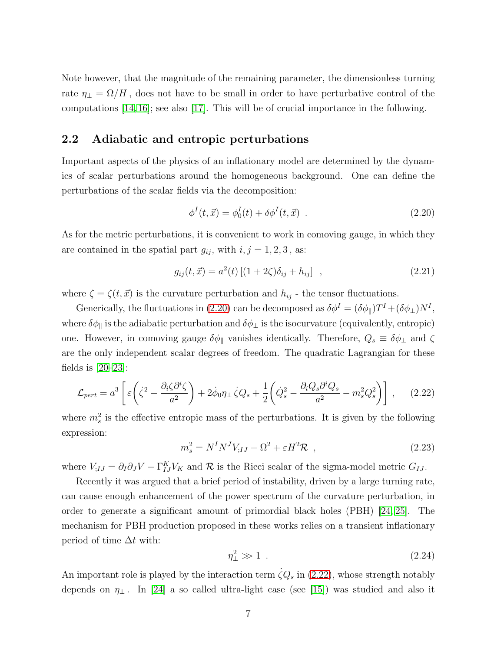Note however, that the magnitude of the remaining parameter, the dimensionless turning rate  $\eta_{\perp} = \Omega/H$ , does not have to be small in order to have perturbative control of the computations [\[14,](#page-43-0) [16\]](#page-43-1); see also [\[17\]](#page-43-8). This will be of crucial importance in the following.

#### <span id="page-7-0"></span>2.2 Adiabatic and entropic perturbations

Important aspects of the physics of an inflationary model are determined by the dynamics of scalar perturbations around the homogeneous background. One can define the perturbations of the scalar fields via the decomposition:

<span id="page-7-1"></span>
$$
\phi^{I}(t, \vec{x}) = \phi_{0}^{I}(t) + \delta \phi^{I}(t, \vec{x})
$$
 (2.20)

As for the metric perturbations, it is convenient to work in comoving gauge, in which they are contained in the spatial part  $g_{ij}$ , with  $i, j = 1, 2, 3$ , as:

$$
g_{ij}(t, \vec{x}) = a^2(t) \left[ (1 + 2\zeta)\delta_{ij} + h_{ij} \right] , \qquad (2.21)
$$

where  $\zeta = \zeta(t, \vec{x})$  is the curvature perturbation and  $h_{ij}$  - the tensor fluctuations.

Generically, the fluctuations in [\(2.20\)](#page-7-1) can be decomposed as  $\delta \phi^I = (\delta \phi_{\parallel}) T^I + (\delta \phi_{\perp}) N^I$ , where  $\delta\phi_{\parallel}$  is the adiabatic perturbation and  $\delta\phi_{\perp}$  is the isocurvature (equivalently, entropic) one. However, in comoving gauge  $\delta\phi_{\parallel}$  vanishes identically. Therefore,  $Q_s \equiv \delta\phi_{\perp}$  and  $\zeta$ are the only independent scalar degrees of freedom. The quadratic Lagrangian for these fields is  $[20-23]$  $[20-23]$ :

<span id="page-7-2"></span>
$$
\mathcal{L}_{pert} = a^3 \left[ \varepsilon \left( \dot{\zeta}^2 - \frac{\partial_i \zeta \partial^i \zeta}{a^2} \right) + 2 \dot{\phi}_0 \eta \right] \dot{\zeta} Q_s + \frac{1}{2} \left( \dot{Q}_s^2 - \frac{\partial_i Q_s \partial^i Q_s}{a^2} - m_s^2 Q_s^2 \right) \right], \quad (2.22)
$$

where  $m_s^2$  is the effective entropic mass of the perturbations. It is given by the following expression:

<span id="page-7-3"></span>
$$
m_s^2 = N^I N^J V_{;IJ} - \Omega^2 + \varepsilon H^2 \mathcal{R} \tag{2.23}
$$

where  $V_{;IJ} = \partial_I \partial_J V - \Gamma_{IJ}^K V_K$  and  $\mathcal R$  is the Ricci scalar of the sigma-model metric  $G_{IJ}$ .

Recently it was argued that a brief period of instability, driven by a large turning rate, can cause enough enhancement of the power spectrum of the curvature perturbation, in order to generate a significant amount of primordial black holes (PBH) [\[24,](#page-44-0) [25\]](#page-44-1). The mechanism for PBH production proposed in these works relies on a transient inflationary period of time  $\Delta t$  with:

$$
\eta_{\perp}^2 \gg 1 \tag{2.24}
$$

An important role is played by the interaction term  $\zeta Q_s$  in [\(2.22\)](#page-7-2), whose strength notably depends on  $\eta_{\perp}$ . In [\[24\]](#page-44-0) a so called ultra-light case (see [\[15\]](#page-43-7)) was studied and also it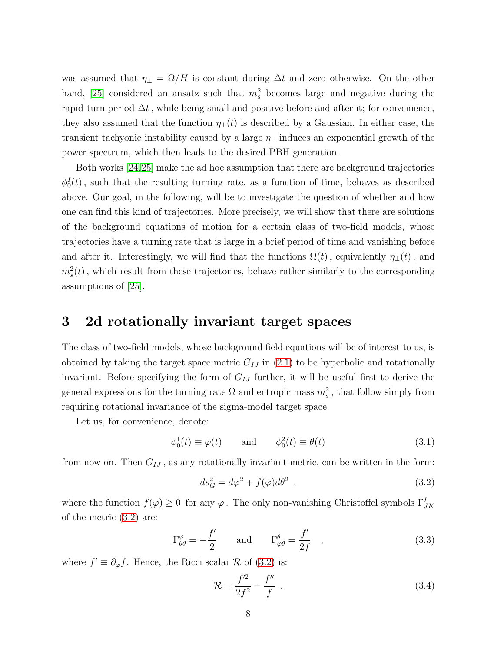was assumed that  $\eta_{\perp} = \Omega/H$  is constant during  $\Delta t$  and zero otherwise. On the other hand, [\[25\]](#page-44-1) considered an ansatz such that  $m_s^2$  becomes large and negative during the rapid-turn period  $\Delta t$ , while being small and positive before and after it; for convenience, they also assumed that the function  $\eta_{\perp}(t)$  is described by a Gaussian. In either case, the transient tachyonic instability caused by a large  $\eta_{\perp}$  induces an exponential growth of the power spectrum, which then leads to the desired PBH generation.

Both works [\[24,](#page-44-0)[25\]](#page-44-1) make the ad hoc assumption that there are background trajectories  $\phi_0^I(t)$ , such that the resulting turning rate, as a function of time, behaves as described above. Our goal, in the following, will be to investigate the question of whether and how one can find this kind of trajectories. More precisely, we will show that there are solutions of the background equations of motion for a certain class of two-field models, whose trajectories have a turning rate that is large in a brief period of time and vanishing before and after it. Interestingly, we will find that the functions  $\Omega(t)$ , equivalently  $\eta_{\perp}(t)$ , and  $m_s^2(t)$ , which result from these trajectories, behave rather similarly to the corresponding assumptions of [\[25\]](#page-44-1).

### <span id="page-8-0"></span>3 2d rotationally invariant target spaces

The class of two-field models, whose background field equations will be of interest to us, is obtained by taking the target space metric  $G_{IJ}$  in [\(2.1\)](#page-4-1) to be hyperbolic and rotationally invariant. Before specifying the form of  $G_{IJ}$  further, it will be useful first to derive the general expressions for the turning rate  $\Omega$  and entropic mass  $m_s^2$ , that follow simply from requiring rotational invariance of the sigma-model target space.

Let us, for convenience, denote:

<span id="page-8-2"></span>
$$
\phi_0^1(t) \equiv \varphi(t) \quad \text{and} \quad \phi_0^2(t) \equiv \theta(t) \tag{3.1}
$$

from now on. Then  $G_{IJ}$ , as any rotationally invariant metric, can be written in the form:

<span id="page-8-1"></span>
$$
ds_G^2 = d\varphi^2 + f(\varphi)d\theta^2 \t\t(3.2)
$$

where the function  $f(\varphi) \ge 0$  for any  $\varphi$ . The only non-vanishing Christoffel symbols  $\Gamma^I_{JK}$ of the metric [\(3.2\)](#page-8-1) are:

<span id="page-8-3"></span>
$$
\Gamma^{\varphi}_{\theta\theta} = -\frac{f'}{2} \quad \text{and} \quad \Gamma^{\theta}_{\varphi\theta} = \frac{f'}{2f} \quad , \tag{3.3}
$$

where  $f' \equiv \partial_{\varphi} f$ . Hence, the Ricci scalar  $\mathcal R$  of [\(3.2\)](#page-8-1) is:

<span id="page-8-4"></span>
$$
\mathcal{R} = \frac{f'^2}{2f^2} - \frac{f''}{f} \tag{3.4}
$$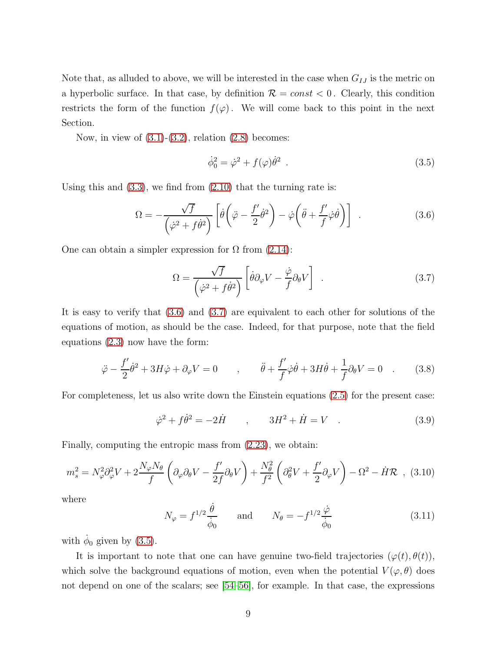Note that, as alluded to above, we will be interested in the case when  $G_{IJ}$  is the metric on a hyperbolic surface. In that case, by definition  $\mathcal{R} = const < 0$ . Clearly, this condition restricts the form of the function  $f(\varphi)$ . We will come back to this point in the next Section.

Now, in view of  $(3.1)-(3.2)$  $(3.1)-(3.2)$ , relation  $(2.8)$  becomes:

<span id="page-9-2"></span>
$$
\dot{\phi}_0^2 = \dot{\varphi}^2 + f(\varphi)\dot{\theta}^2 \tag{3.5}
$$

Using this and  $(3.3)$ , we find from  $(2.10)$  that the turning rate is:

<span id="page-9-0"></span>
$$
\Omega = -\frac{\sqrt{f}}{\left(\dot{\varphi}^2 + f\dot{\theta}^2\right)} \left[\dot{\theta}\left(\ddot{\varphi} - \frac{f'}{2}\dot{\theta}^2\right) - \dot{\varphi}\left(\ddot{\theta} + \frac{f'}{f}\dot{\varphi}\dot{\theta}\right)\right] \quad . \tag{3.6}
$$

One can obtain a simpler expression for  $\Omega$  from [\(2.14\)](#page-6-1):

<span id="page-9-1"></span>
$$
\Omega = \frac{\sqrt{f}}{\left(\dot{\varphi}^2 + f\dot{\theta}^2\right)} \left[\dot{\theta}\partial_{\varphi}V - \frac{\dot{\varphi}}{f}\partial_{\theta}V\right] \quad . \tag{3.7}
$$

It is easy to verify that [\(3.6\)](#page-9-0) and [\(3.7\)](#page-9-1) are equivalent to each other for solutions of the equations of motion, as should be the case. Indeed, for that purpose, note that the field equations [\(2.3\)](#page-5-2) now have the form:

<span id="page-9-4"></span>
$$
\ddot{\varphi} - \frac{f'}{2}\dot{\theta}^2 + 3H\dot{\varphi} + \partial_{\varphi}V = 0 \qquad , \qquad \ddot{\theta} + \frac{f'}{f}\dot{\varphi}\dot{\theta} + 3H\dot{\theta} + \frac{1}{f}\partial_{\theta}V = 0 \quad . \tag{3.8}
$$

For completeness, let us also write down the Einstein equations [\(2.5\)](#page-5-4) for the present case:

<span id="page-9-5"></span>
$$
\dot{\varphi}^2 + f\dot{\theta}^2 = -2\dot{H} \qquad , \qquad 3H^2 + \dot{H} = V \quad . \tag{3.9}
$$

Finally, computing the entropic mass from [\(2.23\)](#page-7-3), we obtain:

<span id="page-9-3"></span>
$$
m_s^2 = N_\varphi^2 \partial_\varphi^2 V + 2 \frac{N_\varphi N_\theta}{f} \left( \partial_\varphi \partial_\theta V - \frac{f'}{2f} \partial_\theta V \right) + \frac{N_\theta^2}{f^2} \left( \partial_\theta^2 V + \frac{f'}{2} \partial_\varphi V \right) - \Omega^2 - \dot{H} \mathcal{R} \quad (3.10)
$$

where

$$
N_{\varphi} = f^{1/2} \frac{\dot{\theta}}{\dot{\phi}_0} \quad \text{and} \quad N_{\theta} = -f^{1/2} \frac{\dot{\varphi}}{\dot{\phi}_0} \tag{3.11}
$$

with  $\dot{\phi}_0$  given by [\(3.5\)](#page-9-2).

It is important to note that one can have genuine two-field trajectories  $(\varphi(t), \theta(t)),$ which solve the background equations of motion, even when the potential  $V(\varphi, \theta)$  does not depend on one of the scalars; see [\[54](#page-46-6)[–56\]](#page-47-4), for example. In that case, the expressions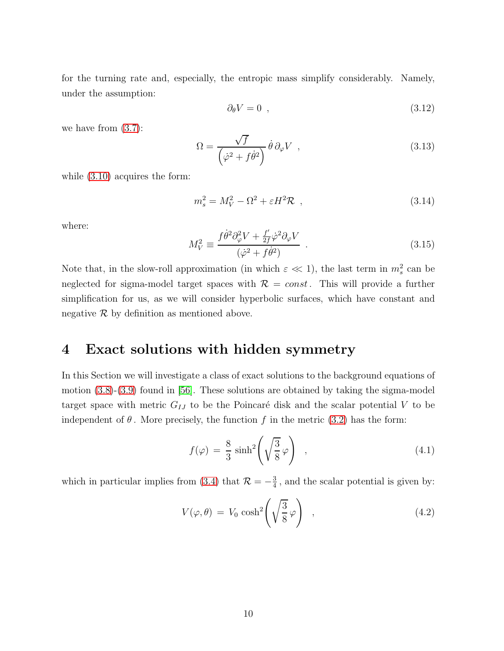for the turning rate and, especially, the entropic mass simplify considerably. Namely, under the assumption:

$$
\partial_{\theta} V = 0 \quad , \tag{3.12}
$$

we have from [\(3.7\)](#page-9-1):

<span id="page-10-3"></span>
$$
\Omega = \frac{\sqrt{f}}{\left(\dot{\varphi}^2 + f\dot{\theta}^2\right)} \dot{\theta} \,\partial_{\varphi} V \tag{3.13}
$$

while  $(3.10)$  acquires the form:

<span id="page-10-5"></span>
$$
m_s^2 = M_V^2 - \Omega^2 + \varepsilon H^2 \mathcal{R} \t\t(3.14)
$$

where:

<span id="page-10-4"></span>
$$
M_V^2 \equiv \frac{f \dot{\theta}^2 \partial_\varphi^2 V + \frac{f'}{2f} \dot{\varphi}^2 \partial_\varphi V}{(\dot{\varphi}^2 + f \dot{\theta}^2)} \tag{3.15}
$$

Note that, in the slow-roll approximation (in which  $\varepsilon \ll 1$ ), the last term in  $m_s^2$  can be neglected for sigma-model target spaces with  $\mathcal{R} = const.$  This will provide a further simplification for us, as we will consider hyperbolic surfaces, which have constant and negative  $\mathcal R$  by definition as mentioned above.

### <span id="page-10-0"></span>4 Exact solutions with hidden symmetry

In this Section we will investigate a class of exact solutions to the background equations of motion  $(3.8)-(3.9)$  $(3.8)-(3.9)$  found in [\[56\]](#page-47-4). These solutions are obtained by taking the sigma-model target space with metric  $G_{IJ}$  to be the Poincaré disk and the scalar potential V to be independent of  $\theta$ . More precisely, the function f in the metric [\(3.2\)](#page-8-1) has the form:

<span id="page-10-1"></span>
$$
f(\varphi) = \frac{8}{3}\sinh^2\left(\sqrt{\frac{3}{8}}\varphi\right) , \qquad (4.1)
$$

which in particular implies from [\(3.4\)](#page-8-4) that  $\mathcal{R} = -\frac{3}{4}$  $\frac{3}{4}$ , and the scalar potential is given by:

<span id="page-10-2"></span>
$$
V(\varphi, \theta) = V_0 \cosh^2\left(\sqrt{\frac{3}{8}}\varphi\right) \quad , \tag{4.2}
$$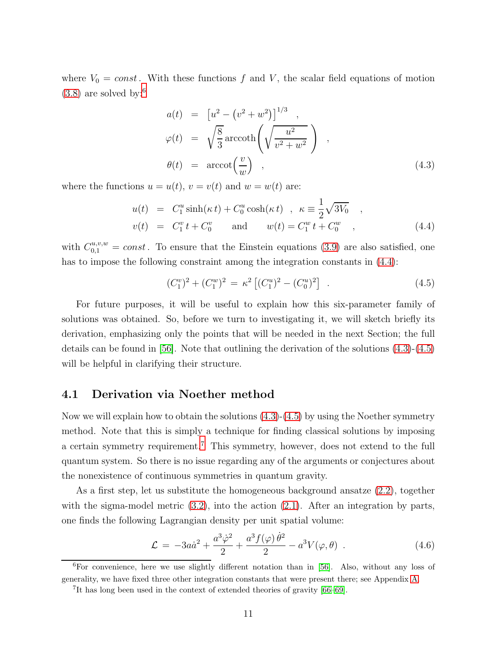where  $V_0 = const.$  With these functions f and V, the scalar field equations of motion  $(3.8)$  are solved by:<sup>[6](#page-11-1)</sup>

<span id="page-11-3"></span>
$$
a(t) = [u2 - (v2 + w2)]1/3,
$$
  
\n
$$
\varphi(t) = \sqrt{\frac{8}{3}} \operatorname{arccoth}\left(\sqrt{\frac{u^{2}}{v^{2} + w^{2}}}\right),
$$
  
\n
$$
\theta(t) = \operatorname{arccot}\left(\frac{v}{w}\right),
$$
\n(4.3)

where the functions  $u = u(t)$ ,  $v = v(t)$  and  $w = w(t)$  are:

<span id="page-11-2"></span>
$$
u(t) = C_1^u \sinh(\kappa t) + C_0^u \cosh(\kappa t) , \ \kappa \equiv \frac{1}{2} \sqrt{3V_0} ,
$$
  

$$
v(t) = C_1^v t + C_0^v \quad \text{and} \quad w(t) = C_1^w t + C_0^w ,
$$
 (4.4)

with  $C_{0,1}^{u,v,w} = const.$  To ensure that the Einstein equations [\(3.9\)](#page-9-5) are also satisfied, one has to impose the following constraint among the integration constants in  $(4.4)$ :

<span id="page-11-4"></span>
$$
(C_1^v)^2 + (C_1^w)^2 = \kappa^2 \left[ (C_1^u)^2 - (C_0^u)^2 \right] \tag{4.5}
$$

For future purposes, it will be useful to explain how this six-parameter family of solutions was obtained. So, before we turn to investigating it, we will sketch briefly its derivation, emphasizing only the points that will be needed in the next Section; the full details can be found in [\[56\]](#page-47-4). Note that outlining the derivation of the solutions [\(4.3\)](#page-11-3)-[\(4.5\)](#page-11-4) will be helpful in clarifying their structure.

#### <span id="page-11-0"></span>4.1 Derivation via Noether method

Now we will explain how to obtain the solutions  $(4.3)-(4.5)$  $(4.3)-(4.5)$  by using the Noether symmetry method. Note that this is simply a technique for finding classical solutions by imposing a certain symmetry requirement.[7](#page-11-5) This symmetry, however, does not extend to the full quantum system. So there is no issue regarding any of the arguments or conjectures about the nonexistence of continuous symmetries in quantum gravity.

As a first step, let us substitute the homogeneous background ansatze [\(2.2\)](#page-5-5), together with the sigma-model metric  $(3.2)$ , into the action  $(2.1)$ . After an integration by parts, one finds the following Lagrangian density per unit spatial volume:

<span id="page-11-6"></span>
$$
\mathcal{L} = -3a\dot{a}^2 + \frac{a^3\dot{\varphi}^2}{2} + \frac{a^3f(\varphi)\dot{\theta}^2}{2} - a^3V(\varphi,\theta) \tag{4.6}
$$

 ${}^{6}$ For convenience, here we use slightly different notation than in [\[56\]](#page-47-4). Also, without any loss of generality, we have fixed three other integration constants that were present there; see Appendix [A.](#page-30-0)

<span id="page-11-5"></span><span id="page-11-1"></span><sup>7</sup> It has long been used in the context of extended theories of gravity [\[66](#page-47-5)[–69\]](#page-48-0).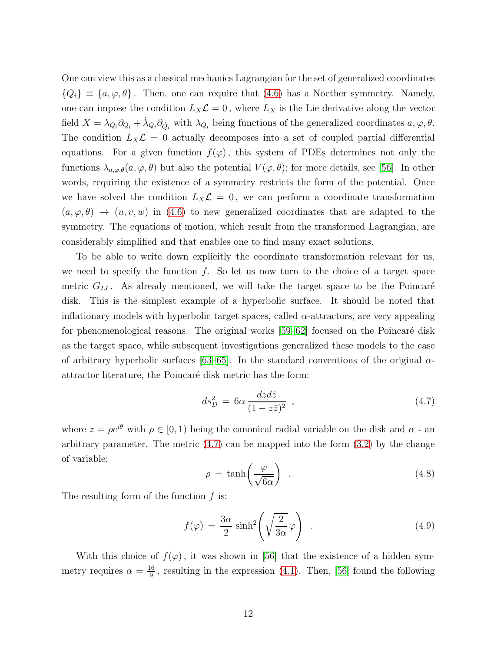One can view this as a classical mechanics Lagrangian for the set of generalized coordinates  ${Q_i} \equiv {a, \varphi, \theta}$ . Then, one can require that [\(4.6\)](#page-11-6) has a Noether symmetry. Namely, one can impose the condition  $L_X \mathcal{L} = 0$ , where  $L_X$  is the Lie derivative along the vector field  $X = \lambda_{Q_i} \partial_{Q_i} + \dot{\lambda}_{Q_i} \partial_{\dot{Q}_i}$  with  $\lambda_{Q_i}$  being functions of the generalized coordinates  $a, \varphi, \theta$ . The condition  $L_X \mathcal{L} = 0$  actually decomposes into a set of coupled partial differential equations. For a given function  $f(\varphi)$ , this system of PDEs determines not only the functions  $\lambda_{a,\varphi,\theta}(a,\varphi,\theta)$  but also the potential  $V(\varphi,\theta)$ ; for more details, see [\[56\]](#page-47-4). In other words, requiring the existence of a symmetry restricts the form of the potential. Once we have solved the condition  $L_X \mathcal{L} = 0$ , we can perform a coordinate transformation  $(a, \varphi, \theta) \rightarrow (u, v, w)$  in [\(4.6\)](#page-11-6) to new generalized coordinates that are adapted to the symmetry. The equations of motion, which result from the transformed Lagrangian, are considerably simplified and that enables one to find many exact solutions.

To be able to write down explicitly the coordinate transformation relevant for us, we need to specify the function  $f$ . So let us now turn to the choice of a target space metric  $G_{IJ}$ . As already mentioned, we will take the target space to be the Poincaré disk. This is the simplest example of a hyperbolic surface. It should be noted that inflationary models with hyperbolic target spaces, called  $\alpha$ -attractors, are very appealing for phenomenological reasons. The original works  $[59–62]$  $[59–62]$  focused on the Poincaré disk as the target space, while subsequent investigations generalized these models to the case of arbitrary hyperbolic surfaces [\[63](#page-47-2)[–65\]](#page-47-3). In the standard conventions of the original  $\alpha$ attractor literature, the Poincaré disk metric has the form:

<span id="page-12-0"></span>
$$
ds_D^2 = 6\alpha \frac{dzd\bar{z}}{(1 - z\bar{z})^2} \tag{4.7}
$$

where  $z = \rho e^{i\theta}$  with  $\rho \in [0, 1)$  being the canonical radial variable on the disk and  $\alpha$  - an arbitrary parameter. The metric  $(4.7)$  can be mapped into the form  $(3.2)$  by the change of variable:

$$
\rho = \tanh\left(\frac{\varphi}{\sqrt{6\alpha}}\right) \tag{4.8}
$$

The resulting form of the function  $f$  is:

<span id="page-12-1"></span>
$$
f(\varphi) = \frac{3\alpha}{2}\sinh^2\left(\sqrt{\frac{2}{3\alpha}}\varphi\right) \tag{4.9}
$$

With this choice of  $f(\varphi)$ , it was shown in [\[56\]](#page-47-4) that the existence of a hidden symmetry requires  $\alpha = \frac{16}{9}$  $\frac{16}{9}$ , resulting in the expression [\(4.1\)](#page-10-1). Then, [\[56\]](#page-47-4) found the following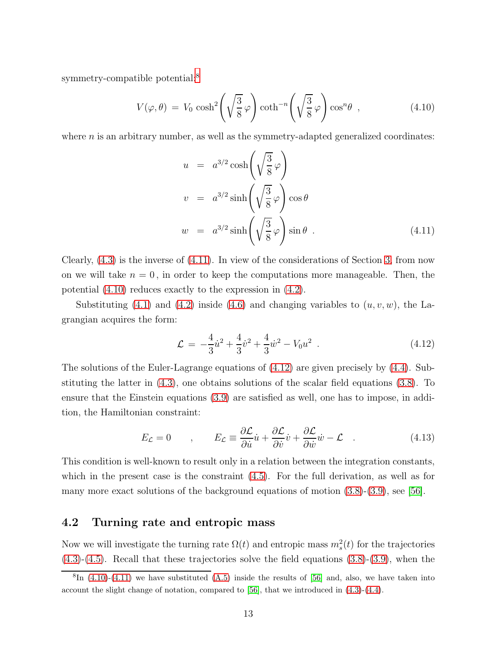symmetry-compatible potential:<sup>[8](#page-13-1)</sup>

<span id="page-13-3"></span>
$$
V(\varphi,\theta) = V_0 \cosh^2\left(\sqrt{\frac{3}{8}}\varphi\right) \coth^{-n}\left(\sqrt{\frac{3}{8}}\varphi\right) \cos^n\theta \quad , \tag{4.10}
$$

where  $n$  is an arbitrary number, as well as the symmetry-adapted generalized coordinates:

<span id="page-13-2"></span>
$$
u = a^{3/2} \cosh\left(\sqrt{\frac{3}{8}} \varphi\right)
$$
  
\n
$$
v = a^{3/2} \sinh\left(\sqrt{\frac{3}{8}} \varphi\right) \cos \theta
$$
  
\n
$$
w = a^{3/2} \sinh\left(\sqrt{\frac{3}{8}} \varphi\right) \sin \theta
$$
 (4.11)

Clearly, [\(4.3\)](#page-11-3) is the inverse of [\(4.11\)](#page-13-2). In view of the considerations of Section [3,](#page-8-0) from now on we will take  $n = 0$ , in order to keep the computations more manageable. Then, the potential [\(4.10\)](#page-13-3) reduces exactly to the expression in [\(4.2\)](#page-10-2).

Substituting  $(4.1)$  and  $(4.2)$  inside  $(4.6)$  and changing variables to  $(u, v, w)$ , the Lagrangian acquires the form:

<span id="page-13-4"></span>
$$
\mathcal{L} = -\frac{4}{3}\dot{u}^2 + \frac{4}{3}\dot{v}^2 + \frac{4}{3}\dot{w}^2 - V_0 u^2 \tag{4.12}
$$

The solutions of the Euler-Lagrange equations of [\(4.12\)](#page-13-4) are given precisely by [\(4.4\)](#page-11-2). Substituting the latter in [\(4.3\)](#page-11-3), one obtains solutions of the scalar field equations [\(3.8\)](#page-9-4). To ensure that the Einstein equations [\(3.9\)](#page-9-5) are satisfied as well, one has to impose, in addition, the Hamiltonian constraint:

$$
E_{\mathcal{L}} = 0 \qquad , \qquad E_{\mathcal{L}} \equiv \frac{\partial \mathcal{L}}{\partial \dot{u}} \dot{u} + \frac{\partial \mathcal{L}}{\partial \dot{v}} \dot{v} + \frac{\partial \mathcal{L}}{\partial \dot{w}} \dot{w} - \mathcal{L} \quad . \tag{4.13}
$$

This condition is well-known to result only in a relation between the integration constants, which in the present case is the constraint [\(4.5\)](#page-11-4). For the full derivation, as well as for many more exact solutions of the background equations of motion [\(3.8\)](#page-9-4)-[\(3.9\)](#page-9-5), see [\[56\]](#page-47-4).

#### <span id="page-13-0"></span>4.2 Turning rate and entropic mass

Now we will investigate the turning rate  $\Omega(t)$  and entropic mass  $m_s^2(t)$  for the trajectories [\(4.3\)](#page-11-3)-[\(4.5\)](#page-11-4). Recall that these trajectories solve the field equations [\(3.8\)](#page-9-4)-[\(3.9\)](#page-9-5), when the

<span id="page-13-1"></span> ${}^{8}$ In [\(4.10\)](#page-13-3)-[\(4.11\)](#page-13-2) we have substituted [\(A.5\)](#page-31-1) inside the results of [\[56\]](#page-47-4) and, also, we have taken into account the slight change of notation, compared to [\[56\]](#page-47-4), that we introduced in [\(4.3\)](#page-11-3)-[\(4.4\)](#page-11-2).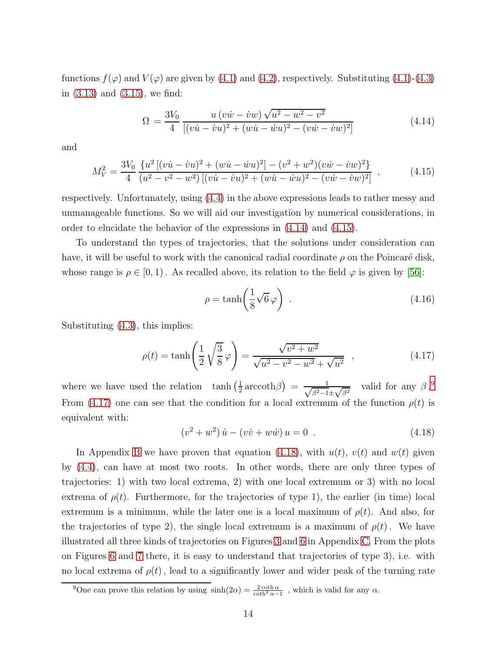functions  $f(\varphi)$  and  $V(\varphi)$  are given by [\(4.1\)](#page-10-1) and [\(4.2\)](#page-10-2), respectively. Substituting (4.1)-[\(4.3\)](#page-11-3) in [\(3.13\)](#page-10-3) and [\(3.15\)](#page-10-4), we find:

<span id="page-14-0"></span>
$$
\Omega = \frac{3V_0}{4} \frac{u (v\dot{w} - \dot{v}w) \sqrt{u^2 - w^2 - v^2}}{[(v\dot{u} - \dot{v}u)^2 + (w\dot{u} - \dot{w}u)^2 - (v\dot{w} - \dot{v}w)^2]}
$$
(4.14)

and

<span id="page-14-1"></span>
$$
M_V^2 = \frac{3V_0}{4} \frac{\{u^2 \left[ (v\dot{u} - \dot{v}u)^2 + (w\dot{u} - \dot{w}u)^2 \right] - (v^2 + w^2)(v\dot{w} - \dot{v}w)^2 \}}{(u^2 - v^2 - w^2) \left[ (v\dot{u} - \dot{v}u)^2 + (w\dot{u} - \dot{w}u)^2 - (v\dot{w} - \dot{v}w)^2 \right]} ,
$$
 (4.15)

respectively. Unfortunately, using [\(4.4\)](#page-11-2) in the above expressions leads to rather messy and unmanageable functions. So we will aid our investigation by numerical considerations, in order to elucidate the behavior of the expressions in [\(4.14\)](#page-14-0) and [\(4.15\)](#page-14-1).

To understand the types of trajectories, that the solutions under consideration can have, it will be useful to work with the canonical radial coordinate  $\rho$  on the Poincaré disk, whose range is  $\rho \in [0, 1)$ . As recalled above, its relation to the field  $\varphi$  is given by [\[56\]](#page-47-4):

$$
\rho = \tanh\left(\frac{1}{8}\sqrt{6}\,\varphi\right) \tag{4.16}
$$

Substituting [\(4.3\)](#page-11-3), this implies:

<span id="page-14-3"></span>
$$
\rho(t) = \tanh\left(\frac{1}{2}\sqrt{\frac{3}{8}}\varphi\right) = \frac{\sqrt{v^2 + w^2}}{\sqrt{u^2 - v^2 - w^2} + \sqrt{u^2}} \quad , \tag{4.17}
$$

where we have used the relation  $\tanh(\frac{1}{2})$  $\frac{1}{2} \operatorname{arccoth}\beta$  =  $\frac{1}{\sqrt{\beta^2-1}}$  $\frac{1}{\beta^2-1\pm\sqrt{\beta^2}}$  valid for any  $\beta$ .<sup>[9](#page-14-2)</sup> From [\(4.17\)](#page-14-3) one can see that the condition for a local extremum of the function  $\rho(t)$  is equivalent with:

<span id="page-14-4"></span>
$$
(v2 + w2) \dot{u} - (v\dot{v} + w\dot{w}) u = 0 . \qquad (4.18)
$$

In Appendix [B](#page-31-0) we have proven that equation [\(4.18\)](#page-14-4), with  $u(t)$ ,  $v(t)$  and  $w(t)$  given by [\(4.4\)](#page-11-2), can have at most two roots. In other words, there are only three types of trajectories: 1) with two local extrema, 2) with one local extremum or 3) with no local extrema of  $\rho(t)$ . Furthermore, for the trajectories of type 1), the earlier (in time) local extremum is a minimum, while the later one is a local maximum of  $\rho(t)$ . And also, for the trajectories of type 2), the single local extremum is a maximum of  $\rho(t)$ . We have illustrated all three kinds of trajectories on Figures [3](#page-37-0) and [6](#page-39-0) in Appendix [C.](#page-35-0) From the plots on Figures [6](#page-39-0) and [7](#page-39-1) there, it is easy to understand that trajectories of type 3), i.e. with no local extrema of  $\rho(t)$ , lead to a significantly lower and wider peak of the turning rate

<span id="page-14-2"></span><sup>&</sup>lt;sup>9</sup>One can prove this relation by using  $sinh(2\alpha) = \frac{2 \coth \alpha}{\coth^2 \alpha - 1}$ , which is valid for any  $\alpha$ .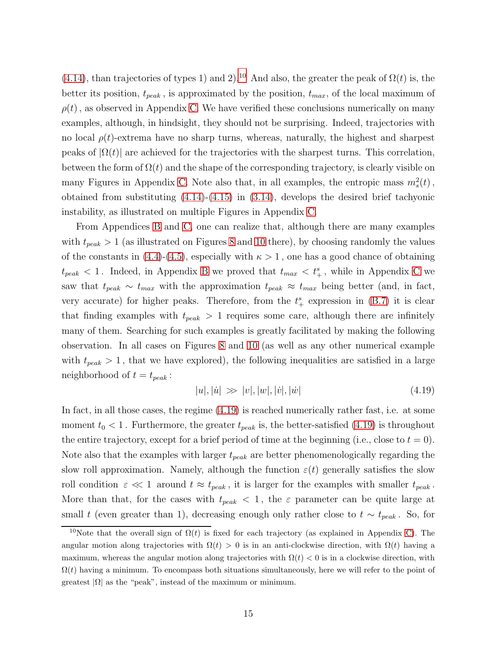[\(4.14\)](#page-14-0), than trajectories of types 1) and 2).<sup>[10](#page-15-0)</sup> And also, the greater the peak of  $\Omega(t)$  is, the better its position,  $t_{peak}$ , is approximated by the position,  $t_{max}$ , of the local maximum of  $\rho(t)$ , as observed in Appendix [C.](#page-35-0) We have verified these conclusions numerically on many examples, although, in hindsight, they should not be surprising. Indeed, trajectories with no local  $\rho(t)$ -extrema have no sharp turns, whereas, naturally, the highest and sharpest peaks of  $|\Omega(t)|$  are achieved for the trajectories with the sharpest turns. This correlation, between the form of  $\Omega(t)$  and the shape of the corresponding trajectory, is clearly visible on many Figures in Appendix [C.](#page-35-0) Note also that, in all examples, the entropic mass  $m_s^2(t)$ , obtained from substituting  $(4.14)-(4.15)$  $(4.14)-(4.15)$  in  $(3.14)$ , develops the desired brief tachyonic instability, as illustrated on multiple Figures in Appendix [C.](#page-35-0)

From Appendices [B](#page-31-0) and [C,](#page-35-0) one can realize that, although there are many examples with  $t_{peak} > 1$  (as illustrated on Figures [8](#page-40-0) and [10](#page-41-0) there), by choosing randomly the values of the constants in [\(4.4\)](#page-11-2)-[\(4.5\)](#page-11-4), especially with  $\kappa > 1$ , one has a good chance of obtaining  $t_{peak}$  < 1. Indeed, in Appendix [B](#page-31-0) we proved that  $t_{max}$  <  $t_{+}^{s}$ , while in Appendix [C](#page-35-0) we saw that  $t_{peak} \sim t_{max}$  with the approximation  $t_{peak} \approx t_{max}$  being better (and, in fact, very accurate) for higher peaks. Therefore, from the  $t^s_+$  expression in [\(B.7\)](#page-32-0) it is clear that finding examples with  $t_{peak} > 1$  requires some care, although there are infinitely many of them. Searching for such examples is greatly facilitated by making the following observation. In all cases on Figures [8](#page-40-0) and [10](#page-41-0) (as well as any other numerical example with  $t_{peak} > 1$ , that we have explored), the following inequalities are satisfied in a large neighborhood of  $t = t_{peak}$ :

<span id="page-15-1"></span>
$$
|u|, |\dot{u}| \gg |v|, |w|, |\dot{v}|, |\dot{w}| \tag{4.19}
$$

In fact, in all those cases, the regime [\(4.19\)](#page-15-1) is reached numerically rather fast, i.e. at some moment  $t_0 < 1$ . Furthermore, the greater  $t_{peak}$  is, the better-satisfied [\(4.19\)](#page-15-1) is throughout the entire trajectory, except for a brief period of time at the beginning (i.e., close to  $t = 0$ ). Note also that the examples with larger  $t_{peak}$  are better phenomenologically regarding the slow roll approximation. Namely, although the function  $\varepsilon(t)$  generally satisfies the slow roll condition  $\varepsilon \ll 1$  around  $t \approx t_{peak}$ , it is larger for the examples with smaller  $t_{peak}$ . More than that, for the cases with  $t_{peak} < 1$ , the  $\varepsilon$  parameter can be quite large at small t (even greater than 1), decreasing enough only rather close to  $t \sim t_{peak}$ . So, for

<span id="page-15-0"></span><sup>&</sup>lt;sup>10</sup>Note that the overall sign of  $\Omega(t)$  is fixed for each trajectory (as explained in Appendix [C\)](#page-35-0). The angular motion along trajectories with  $\Omega(t) > 0$  is in an anti-clockwise direction, with  $\Omega(t)$  having a maximum, whereas the angular motion along trajectories with  $\Omega(t) < 0$  is in a clockwise direction, with  $\Omega(t)$  having a minimum. To encompass both situations simultaneously, here we will refer to the point of greatest  $|\Omega|$  as the "peak", instead of the maximum or minimum.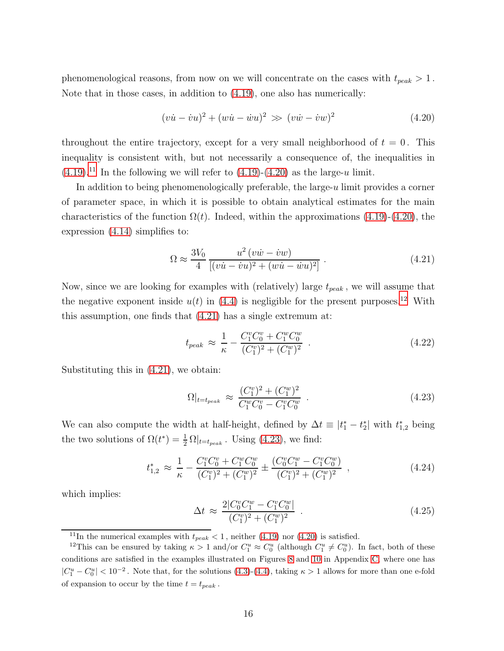phenomenological reasons, from now on we will concentrate on the cases with  $t_{peak} > 1$ . Note that in those cases, in addition to [\(4.19\)](#page-15-1), one also has numerically:

<span id="page-16-1"></span>
$$
(v\dot{u} - \dot{v}u)^2 + (w\dot{u} - \dot{w}u)^2 \gg (v\dot{w} - \dot{v}w)^2 \tag{4.20}
$$

throughout the entire trajectory, except for a very small neighborhood of  $t = 0$ . This inequality is consistent with, but not necessarily a consequence of, the inequalities in  $(4.19).$  $(4.19).$ <sup>[11](#page-16-0)</sup> In the following we will refer to  $(4.19)-(4.20)$  $(4.19)-(4.20)$  as the large-u limit.

In addition to being phenomenologically preferable, the large- $u$  limit provides a corner of parameter space, in which it is possible to obtain analytical estimates for the main characteristics of the function  $\Omega(t)$ . Indeed, within the approximations [\(4.19\)](#page-15-1)-[\(4.20\)](#page-16-1), the expression [\(4.14\)](#page-14-0) simplifies to:

<span id="page-16-3"></span>
$$
\Omega \approx \frac{3V_0}{4} \frac{u^2 (v\dot{w} - \dot{v}w)}{[(v\dot{u} - \dot{v}u)^2 + (w\dot{u} - \dot{w}u)^2]} \ . \tag{4.21}
$$

Now, since we are looking for examples with (relatively) large  $t_{peak}$ , we will assume that the negative exponent inside  $u(t)$  in [\(4.4\)](#page-11-2) is negligible for the present purposes.<sup>[12](#page-16-2)</sup> With this assumption, one finds that [\(4.21\)](#page-16-3) has a single extremum at:

<span id="page-16-6"></span>
$$
t_{peak} \approx \frac{1}{\kappa} - \frac{C_1^v C_0^v + C_1^w C_0^w}{(C_1^v)^2 + (C_1^w)^2} \tag{4.22}
$$

Substituting this in [\(4.21\)](#page-16-3), we obtain:

<span id="page-16-4"></span>
$$
\Omega|_{t=t_{peak}} \approx \frac{(C_1^v)^2 + (C_1^w)^2}{C_1^w C_0^v - C_1^v C_0^w} \tag{4.23}
$$

We can also compute the width at half-height, defined by  $\Delta t \equiv |t_1^* - t_2^*|$  with  $t_{1,2}^*$  being the two solutions of  $\Omega(t^*) = \frac{1}{2} \Omega |_{t=t_{peak}}$ . Using [\(4.23\)](#page-16-4), we find:

$$
t_{1,2}^* \approx \frac{1}{\kappa} - \frac{C_1^v C_0^v + C_1^w C_0^w}{(C_1^v)^2 + (C_1^w)^2} \pm \frac{(C_0^v C_1^w - C_1^v C_0^w)}{(C_1^v)^2 + (C_1^w)^2} , \qquad (4.24)
$$

which implies:

<span id="page-16-5"></span>
$$
\Delta t \approx \frac{2|C_0^v C_1^w - C_1^v C_0^w|}{(C_1^v)^2 + (C_1^w)^2} \tag{4.25}
$$

<span id="page-16-0"></span><sup>&</sup>lt;sup>11</sup>In the numerical examples with  $t_{peak} < 1$ , neither [\(4.19\)](#page-15-1) nor [\(4.20\)](#page-16-1) is satisfied.

<span id="page-16-2"></span><sup>&</sup>lt;sup>12</sup>This can be ensured by taking  $\kappa > 1$  and/or  $C_1^u \approx C_0^u$  (although  $C_1^u \neq C_0^u$ ). In fact, both of these conditions are satisfied in the examples illustrated on Figures [8](#page-40-0) and [10](#page-41-0) in Appendix [C,](#page-35-0) where one has  $|C_1^u - C_0^u| < 10^{-2}$ . Note that, for the solutions [\(4.3\)](#page-11-3)-[\(4.4\)](#page-11-2), taking  $\kappa > 1$  allows for more than one e-fold of expansion to occur by the time  $t = t_{peak}$ .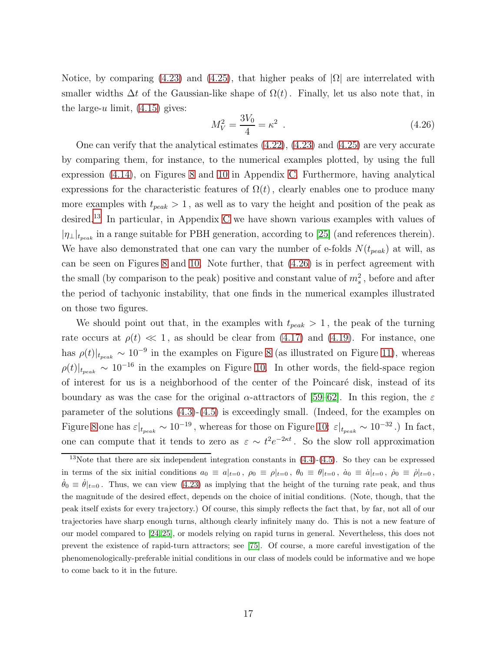Notice, by comparing [\(4.23\)](#page-16-4) and [\(4.25\)](#page-16-5), that higher peaks of  $|\Omega|$  are interrelated with smaller widths  $\Delta t$  of the Gaussian-like shape of  $\Omega(t)$ . Finally, let us also note that, in the large-u limit,  $(4.15)$  gives:

<span id="page-17-1"></span>
$$
M_V^2 = \frac{3V_0}{4} = \kappa^2 \tag{4.26}
$$

One can verify that the analytical estimates  $(4.22)$ ,  $(4.23)$  and  $(4.25)$  are very accurate by comparing them, for instance, to the numerical examples plotted, by using the full expression [\(4.14\)](#page-14-0), on Figures [8](#page-40-0) and [10](#page-41-0) in Appendix [C.](#page-35-0) Furthermore, having analytical expressions for the characteristic features of  $\Omega(t)$ , clearly enables one to produce many more examples with  $t_{peak} > 1$ , as well as to vary the height and position of the peak as desired.[13](#page-17-0) In particular, in Appendix [C](#page-35-0) we have shown various examples with values of  $|\eta_{\perp}|_{t_{peak}}$  in a range suitable for PBH generation, according to [\[25\]](#page-44-1) (and references therein). We have also demonstrated that one can vary the number of e-folds  $N(t_{peak})$  at will, as can be seen on Figures [8](#page-40-0) and [10.](#page-41-0) Note further, that [\(4.26\)](#page-17-1) is in perfect agreement with the small (by comparison to the peak) positive and constant value of  $m_s^2$ , before and after the period of tachyonic instability, that one finds in the numerical examples illustrated on those two figures.

We should point out that, in the examples with  $t_{peak} > 1$ , the peak of the turning rate occurs at  $\rho(t) \ll 1$ , as should be clear from [\(4.17\)](#page-14-3) and [\(4.19\)](#page-15-1). For instance, one has  $\rho(t)|_{t_{peak}} \sim 10^{-9}$  in the examples on Figure [8](#page-40-0) (as illustrated on Figure [11\)](#page-42-6), whereas  $\rho(t)|_{t_{peak}} \sim 10^{-16}$  in the examples on Figure [10.](#page-41-0) In other words, the field-space region of interest for us is a neighborhood of the center of the Poincaré disk, instead of its boundary as was the case for the original  $\alpha$ -attractors of [\[59–](#page-47-0)[62\]](#page-47-1). In this region, the  $\varepsilon$ parameter of the solutions [\(4.3\)](#page-11-3)-[\(4.5\)](#page-11-4) is exceedingly small. (Indeed, for the examples on Figure [8](#page-40-0) one has  $\varepsilon|_{t_{peak}} \sim 10^{-19}$ , whereas for those on Figure [10:](#page-41-0)  $\varepsilon|_{t_{peak}} \sim 10^{-32}$ .) In fact, one can compute that it tends to zero as  $\varepsilon \sim t^2 e^{-2\kappa t}$ . So the slow roll approximation

<span id="page-17-0"></span><sup>&</sup>lt;sup>13</sup>Note that there are six independent integration constants in  $(4.4)-(4.5)$  $(4.4)-(4.5)$ . So they can be expressed in terms of the six initial conditions  $a_0 \equiv a|_{t=0}$ ,  $\rho_0 \equiv \rho|_{t=0}$ ,  $\theta_0 \equiv \theta|_{t=0}$ ,  $\dot{a}_0 \equiv \dot{a}|_{t=0}$ ,  $\dot{\rho}_0 \equiv \dot{\rho}|_{t=0}$ ,  $\theta_0 \equiv \theta|_{t=0}$ . Thus, we can view [\(4.23\)](#page-16-4) as implying that the height of the turning rate peak, and thus the magnitude of the desired effect, depends on the choice of initial conditions. (Note, though, that the peak itself exists for every trajectory.) Of course, this simply reflects the fact that, by far, not all of our trajectories have sharp enough turns, although clearly infinitely many do. This is not a new feature of our model compared to [\[24,](#page-44-0) [25\]](#page-44-1), or models relying on rapid turns in general. Nevertheless, this does not prevent the existence of rapid-turn attractors; see [\[75\]](#page-48-3). Of course, a more careful investigation of the phenomenologically-preferable initial conditions in our class of models could be informative and we hope to come back to it in the future.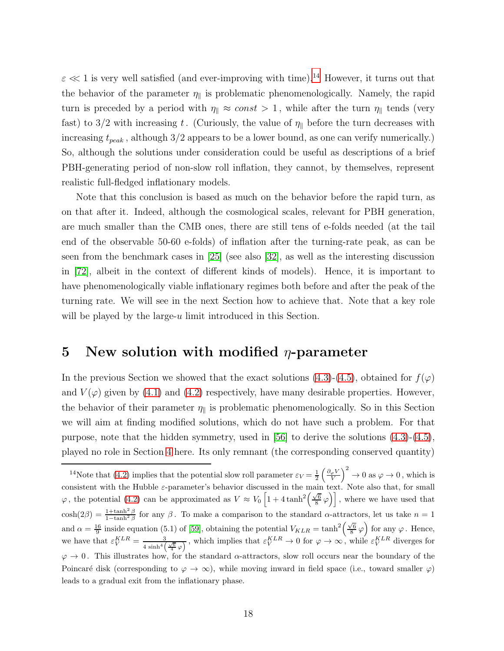$\varepsilon \ll 1$  is very well satisfied (and ever-improving with time).<sup>[14](#page-18-1)</sup> However, it turns out that the behavior of the parameter  $\eta_{\parallel}$  is problematic phenomenologically. Namely, the rapid turn is preceded by a period with  $\eta_{\parallel} \approx const > 1$ , while after the turn  $\eta_{\parallel}$  tends (very fast) to 3/2 with increasing t. (Curiously, the value of  $\eta_{\parallel}$  before the turn decreases with increasing  $t_{peak}$ , although  $3/2$  appears to be a lower bound, as one can verify numerically.) So, although the solutions under consideration could be useful as descriptions of a brief PBH-generating period of non-slow roll inflation, they cannot, by themselves, represent realistic full-fledged inflationary models.

Note that this conclusion is based as much on the behavior before the rapid turn, as on that after it. Indeed, although the cosmological scales, relevant for PBH generation, are much smaller than the CMB ones, there are still tens of e-folds needed (at the tail end of the observable 50-60 e-folds) of inflation after the turning-rate peak, as can be seen from the benchmark cases in [\[25\]](#page-44-1) (see also [\[32\]](#page-45-0), as well as the interesting discussion in [\[72\]](#page-48-4), albeit in the context of different kinds of models). Hence, it is important to have phenomenologically viable inflationary regimes both before and after the peak of the turning rate. We will see in the next Section how to achieve that. Note that a key role will be played by the large-u limit introduced in this Section.

### <span id="page-18-0"></span>5 New solution with modified  $\eta$ -parameter

In the previous Section we showed that the exact solutions [\(4.3\)](#page-11-3)-[\(4.5\)](#page-11-4), obtained for  $f(\varphi)$ and  $V(\varphi)$  given by [\(4.1\)](#page-10-1) and [\(4.2\)](#page-10-2) respectively, have many desirable properties. However, the behavior of their parameter  $\eta_{\parallel}$  is problematic phenomenologically. So in this Section we will aim at finding modified solutions, which do not have such a problem. For that purpose, note that the hidden symmetry, used in [\[56\]](#page-47-4) to derive the solutions [\(4.3\)](#page-11-3)-[\(4.5\)](#page-11-4), played no role in Section [4](#page-10-0) here. Its only remnant (the corresponding conserved quantity)

<span id="page-18-1"></span><sup>&</sup>lt;sup>14</sup>Note that [\(4.2\)](#page-10-2) implies that the potential slow roll parameter  $\varepsilon_V = \frac{1}{2} \left( \frac{\partial_\varphi V}{V} \right)^2 \to 0$  as  $\varphi \to 0$ , which is consistent with the Hubble  $\varepsilon$ -parameter's behavior discussed in the main text. Note also that, for small  $\varphi$ , the potential [\(4.2\)](#page-10-2) can be approximated as  $V \approx V_0 \left[1 + 4 \tanh^2\left(\frac{\sqrt{6}}{8} \varphi\right)\right]$ , where we have used that  $cosh(2\beta) = \frac{1+\tanh^2 \beta}{1-\tanh^2 \beta}$  for any  $\beta$ . To make a comparison to the standard  $\alpha$ -attractors, let us take  $n=1$ and  $\alpha = \frac{16}{9}$  inside equation (5.1) of [\[59\]](#page-47-0), obtaining the potential  $V_{KLR} = \tanh^2\left(\frac{\sqrt{6}}{8} \varphi\right)$  for any  $\varphi$ . Hence, we have that  $\varepsilon_V^{KLR} = \frac{3}{4 \sinh^4 l}$  $\frac{3}{4 \sinh^4(\frac{\sqrt{6}}{4} \varphi)}$ , which implies that  $\varepsilon_V^{KLR} \to 0$  for  $\varphi \to \infty$ , while  $\varepsilon_V^{KLR}$  diverges for  $\varphi \to 0$ . This illustrates how, for the standard  $\alpha$ -attractors, slow roll occurs near the boundary of the Poincaré disk (corresponding to  $\varphi \to \infty$ ), while moving inward in field space (i.e., toward smaller  $\varphi$ ) leads to a gradual exit from the inflationary phase.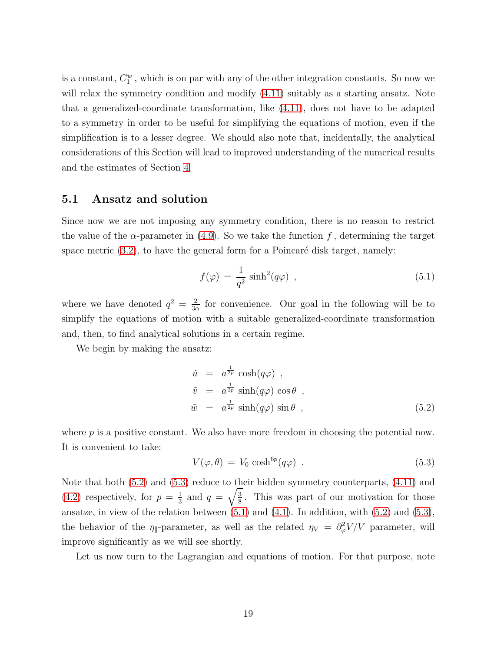is a constant,  $C_1^w$ , which is on par with any of the other integration constants. So now we will relax the symmetry condition and modify  $(4.11)$  suitably as a starting ansatz. Note that a generalized-coordinate transformation, like [\(4.11\)](#page-13-2), does not have to be adapted to a symmetry in order to be useful for simplifying the equations of motion, even if the simplification is to a lesser degree. We should also note that, incidentally, the analytical considerations of this Section will lead to improved understanding of the numerical results and the estimates of Section [4.](#page-10-0)

#### <span id="page-19-0"></span>5.1 Ansatz and solution

Since now we are not imposing any symmetry condition, there is no reason to restrict the value of the  $\alpha$ -parameter in [\(4.9\)](#page-12-1). So we take the function f, determining the target space metric  $(3.2)$ , to have the general form for a Poincaré disk target, namely:

<span id="page-19-3"></span>
$$
f(\varphi) = \frac{1}{q^2} \sinh^2(q\varphi) , \qquad (5.1)
$$

where we have denoted  $q^2 = \frac{2}{3}$  $\frac{2}{3\alpha}$  for convenience. Our goal in the following will be to simplify the equations of motion with a suitable generalized-coordinate transformation and, then, to find analytical solutions in a certain regime.

We begin by making the ansatz:

<span id="page-19-1"></span>
$$
\tilde{u} = a^{\frac{1}{2p}} \cosh(q\varphi) ,
$$
  
\n
$$
\tilde{v} = a^{\frac{1}{2p}} \sinh(q\varphi) \cos \theta ,
$$
  
\n
$$
\tilde{w} = a^{\frac{1}{2p}} \sinh(q\varphi) \sin \theta ,
$$
\n(5.2)

where  $p$  is a positive constant. We also have more freedom in choosing the potential now. It is convenient to take:

<span id="page-19-2"></span>
$$
V(\varphi, \theta) = V_0 \cosh^{6p}(q\varphi) \tag{5.3}
$$

Note that both [\(5.2\)](#page-19-1) and [\(5.3\)](#page-19-2) reduce to their hidden symmetry counterparts, [\(4.11\)](#page-13-2) and  $(4.2)$  respectively, for  $p = \frac{1}{3}$  $rac{1}{3}$  and  $q = \sqrt{\frac{3}{8}}$  $\frac{3}{8}$ . This was part of our motivation for those ansatze, in view of the relation between  $(5.1)$  and  $(4.1)$ . In addition, with  $(5.2)$  and  $(5.3)$ , the behavior of the  $\eta_{\parallel}$ -parameter, as well as the related  $\eta_V = \partial^2_{\varphi} V/V$  parameter, will improve significantly as we will see shortly.

Let us now turn to the Lagrangian and equations of motion. For that purpose, note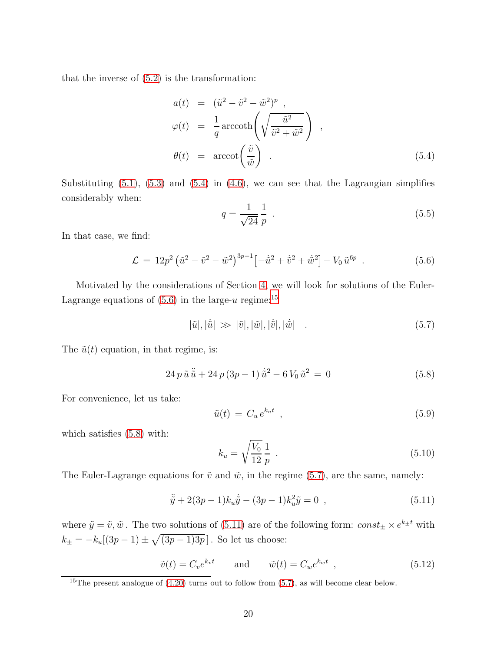that the inverse of [\(5.2\)](#page-19-1) is the transformation:

<span id="page-20-0"></span>
$$
a(t) = (\tilde{u}^2 - \tilde{v}^2 - \tilde{w}^2)^p ,
$$
  
\n
$$
\varphi(t) = \frac{1}{q} \operatorname{arccoth}\left(\sqrt{\frac{\tilde{u}^2}{\tilde{v}^2 + \tilde{w}^2}}\right) ,
$$
  
\n
$$
\theta(t) = \operatorname{arccot}\left(\frac{\tilde{v}}{\tilde{w}}\right) .
$$
\n(5.4)

Substituting  $(5.1)$ ,  $(5.3)$  and  $(5.4)$  in  $(4.6)$ , we can see that the Lagrangian simplifies considerably when:

<span id="page-20-7"></span>
$$
q = \frac{1}{\sqrt{24}} \frac{1}{p} \tag{5.5}
$$

In that case, we find:

<span id="page-20-1"></span>
$$
\mathcal{L} = 12p^2 \left( \tilde{u}^2 - \tilde{v}^2 - \tilde{w}^2 \right)^{3p-1} \left[ -\dot{\tilde{u}}^2 + \dot{\tilde{v}}^2 + \dot{\tilde{w}}^2 \right] - V_0 \tilde{u}^{6p} . \tag{5.6}
$$

Motivated by the considerations of Section [4,](#page-10-0) we will look for solutions of the Euler-Lagrange equations of  $(5.6)$  in the large-u regime:<sup>[15](#page-20-2)</sup>

<span id="page-20-4"></span>
$$
|\tilde{u}|, |\dot{\tilde{u}}| \gg |\tilde{v}|, |\tilde{w}|, |\dot{\tilde{v}}|, |\dot{\tilde{w}}| \tag{5.7}
$$

The  $\tilde{u}(t)$  equation, in that regime, is:

<span id="page-20-3"></span>
$$
24 p \tilde{u} \ddot{\tilde{u}} + 24 p (3p - 1) \dot{\tilde{u}}^2 - 6 V_0 \tilde{u}^2 = 0
$$
\n(5.8)

For convenience, let us take:

<span id="page-20-8"></span>
$$
\tilde{u}(t) = C_u e^{k_u t} \tag{5.9}
$$

which satisfies  $(5.8)$  with:

<span id="page-20-6"></span>
$$
k_u = \sqrt{\frac{V_0}{12}} \frac{1}{p} \tag{5.10}
$$

The Euler-Lagrange equations for  $\tilde{v}$  and  $\tilde{w}$ , in the regime [\(5.7\)](#page-20-4), are the same, namely:

<span id="page-20-5"></span>
$$
\ddot{\tilde{y}} + 2(3p - 1)k_u \dot{\tilde{y}} - (3p - 1)k_u^2 \tilde{y} = 0 \quad , \tag{5.11}
$$

where  $\tilde{y} = \tilde{v}, \tilde{w}$ . The two solutions of [\(5.11\)](#page-20-5) are of the following form:  $const_{\pm} \times e^{k_{\pm}t}$  with  $k_{\pm} = -k_u[(3p-1) \pm \sqrt{(3p-1)3p}]$ . So let us choose:

<span id="page-20-9"></span>
$$
\tilde{v}(t) = C_v e^{k_v t} \qquad \text{and} \qquad \tilde{w}(t) = C_w e^{k_w t} \quad , \tag{5.12}
$$

<span id="page-20-2"></span><sup>&</sup>lt;sup>15</sup>The present analogue of  $(4.20)$  turns out to follow from  $(5.7)$ , as will become clear below.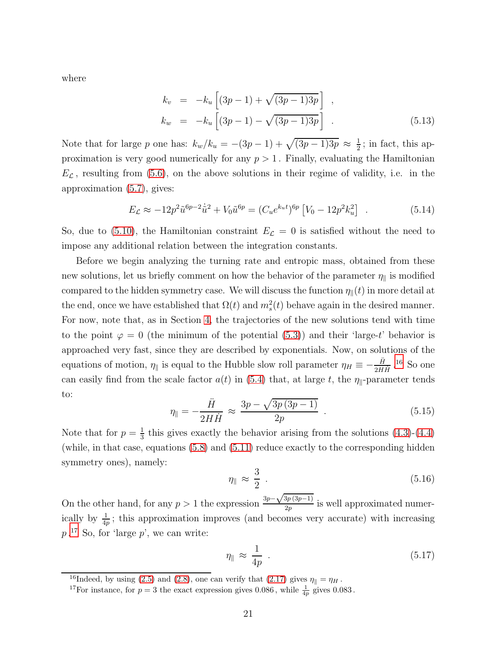where

<span id="page-21-3"></span>
$$
k_v = -k_u \left[ (3p - 1) + \sqrt{(3p - 1)3p} \right],
$$
  
\n
$$
k_w = -k_u \left[ (3p - 1) - \sqrt{(3p - 1)3p} \right].
$$
\n(5.13)

Note that for large p one has:  $k_w/k_u = -(3p-1) + \sqrt{(3p-1)3p} \approx \frac{1}{2}$  $\frac{1}{2}$ ; in fact, this approximation is very good numerically for any  $p > 1$ . Finally, evaluating the Hamiltonian  $E_{\mathcal{L}}$ , resulting from [\(5.6\)](#page-20-1), on the above solutions in their regime of validity, i.e. in the approximation [\(5.7\)](#page-20-4), gives:

$$
E_{\mathcal{L}} \approx -12p^2 \tilde{u}^{6p-2} \dot{\tilde{u}}^2 + V_0 \tilde{u}^{6p} = (C_u e^{k_u t})^{6p} \left[ V_0 - 12p^2 k_u^2 \right] . \tag{5.14}
$$

So, due to [\(5.10\)](#page-20-6), the Hamiltonian constraint  $E_{\mathcal{L}} = 0$  is satisfied without the need to impose any additional relation between the integration constants.

Before we begin analyzing the turning rate and entropic mass, obtained from these new solutions, let us briefly comment on how the behavior of the parameter  $\eta_{\parallel}$  is modified compared to the hidden symmetry case. We will discuss the function  $\eta_{\parallel}(t)$  in more detail at the end, once we have established that  $\Omega(t)$  and  $m_s^2(t)$  behave again in the desired manner. For now, note that, as in Section [4,](#page-10-0) the trajectories of the new solutions tend with time to the point  $\varphi = 0$  (the minimum of the potential [\(5.3\)](#page-19-2)) and their 'large-t' behavior is approached very fast, since they are described by exponentials. Now, on solutions of the equations of motion,  $\eta_{\parallel}$  is equal to the Hubble slow roll parameter  $\eta_H \equiv -\frac{\ddot{H}}{2H\dot{H}}$ .<sup>[16](#page-21-0)</sup> So one can easily find from the scale factor  $a(t)$  in [\(5.4\)](#page-20-0) that, at large t, the  $\eta_{\parallel}$ -parameter tends to:

$$
\eta_{\parallel} = -\frac{\ddot{H}}{2H\dot{H}} \approx \frac{3p - \sqrt{3p(3p - 1)}}{2p} \tag{5.15}
$$

Note that for  $p=\frac{1}{3}$  $\frac{1}{3}$  this gives exactly the behavior arising from the solutions  $(4.3)-(4.4)$  $(4.3)-(4.4)$ (while, in that case, equations [\(5.8\)](#page-20-3) and [\(5.11\)](#page-20-5) reduce exactly to the corresponding hidden symmetry ones), namely:

$$
\eta_{\parallel} \approx \frac{3}{2} \tag{5.16}
$$

On the other hand, for any  $p > 1$  the expression  $\frac{3p-\sqrt{3p(3p-1)}}{2p}$  $\frac{2p(3p-1)}{2p}$  is well approximated numerically by  $\frac{1}{4p}$ ; this approximation improves (and becomes very accurate) with increasing  $p$ <sup>[17](#page-21-1)</sup> So, for 'large  $p$ ', we can write:

<span id="page-21-2"></span>
$$
\eta_{\parallel} \approx \frac{1}{4p} \tag{5.17}
$$

<sup>&</sup>lt;sup>16</sup>Indeed, by using [\(2.5\)](#page-5-4) and [\(2.8\)](#page-5-3), one can verify that [\(2.17\)](#page-6-2) gives  $\eta_{\parallel} = \eta_H$ .

<span id="page-21-1"></span><span id="page-21-0"></span><sup>&</sup>lt;sup>17</sup>For instance, for  $p = 3$  the exact expression gives 0.086, while  $\frac{1}{4p}$  gives 0.083.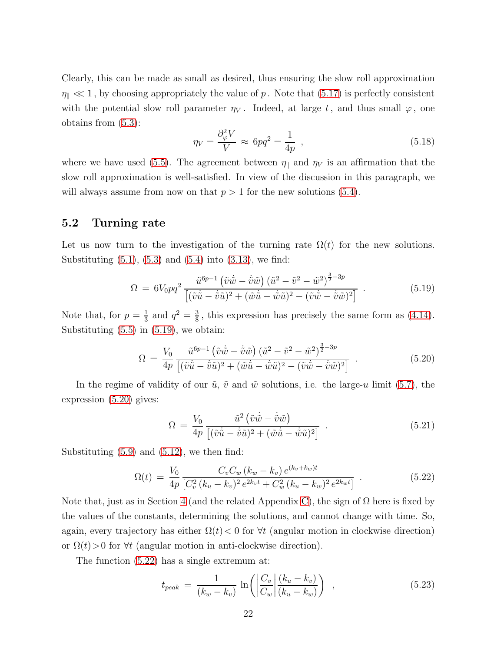Clearly, this can be made as small as desired, thus ensuring the slow roll approximation  $\eta_{\parallel} \ll 1$ , by choosing appropriately the value of p. Note that [\(5.17\)](#page-21-2) is perfectly consistent with the potential slow roll parameter  $\eta_V$ . Indeed, at large t, and thus small  $\varphi$ , one obtains from [\(5.3\)](#page-19-2):

$$
\eta_V = \frac{\partial^2_\varphi V}{V} \approx 6pq^2 = \frac{1}{4p} \quad , \tag{5.18}
$$

where we have used [\(5.5\)](#page-20-7). The agreement between  $\eta_{\parallel}$  and  $\eta_V$  is an affirmation that the slow roll approximation is well-satisfied. In view of the discussion in this paragraph, we will always assume from now on that  $p > 1$  for the new solutions [\(5.4\)](#page-20-0).

### <span id="page-22-0"></span>5.2 Turning rate

Let us now turn to the investigation of the turning rate  $\Omega(t)$  for the new solutions. Substituting  $(5.1)$ ,  $(5.3)$  and  $(5.4)$  into  $(3.13)$ , we find:

<span id="page-22-1"></span>
$$
\Omega = 6V_0pq^2 \frac{\tilde{u}^{6p-1} (\tilde{v}\dot{\tilde{w}} - \dot{\tilde{v}}\tilde{w}) (\tilde{u}^2 - \tilde{v}^2 - \tilde{w}^2)^{\frac{3}{2} - 3p}}{[(\tilde{v}\dot{\tilde{u}} - \dot{\tilde{v}}\tilde{u})^2 + (\tilde{w}\dot{\tilde{u}} - \dot{\tilde{w}}\tilde{u})^2 - (\tilde{v}\dot{\tilde{w}} - \dot{\tilde{v}}\tilde{w})^2] } .
$$
\n(5.19)

Note that, for  $p=\frac{1}{3}$  $\frac{1}{3}$  and  $q^2 = \frac{3}{8}$  $\frac{3}{8}$ , this expression has precisely the same form as  $(4.14)$ . Substituting  $(5.5)$  in  $(5.19)$ , we obtain:

<span id="page-22-2"></span>
$$
\Omega = \frac{V_0}{4p} \frac{\tilde{u}^{6p-1} (\tilde{v}\dot{\tilde{w}} - \dot{\tilde{v}}\tilde{w}) (\tilde{u}^2 - \tilde{v}^2 - \tilde{w}^2)^{\frac{3}{2} - 3p}}{[(\tilde{v}\dot{\tilde{u}} - \dot{\tilde{v}}\tilde{u})^2 + (\tilde{w}\dot{\tilde{u}} - \dot{\tilde{w}}\tilde{u})^2 - (\tilde{v}\dot{\tilde{w}} - \dot{\tilde{v}}\tilde{w})^2] } .
$$
\n(5.20)

In the regime of validity of our  $\tilde{u}$ ,  $\tilde{v}$  and  $\tilde{w}$  solutions, i.e. the large-u limit [\(5.7\)](#page-20-4), the expression [\(5.20\)](#page-22-2) gives:

<span id="page-22-5"></span>
$$
\Omega = \frac{V_0}{4p} \frac{\tilde{u}^2 (\tilde{v}\dot{\tilde{w}} - \dot{\tilde{v}}\tilde{w})}{[(\tilde{v}\dot{\tilde{u}} - \dot{\tilde{v}}\tilde{u})^2 + (\tilde{w}\dot{\tilde{u}} - \dot{\tilde{w}}\tilde{u})^2]} \tag{5.21}
$$

Substituting  $(5.9)$  and  $(5.12)$ , we then find:

<span id="page-22-3"></span>
$$
\Omega(t) = \frac{V_0}{4p} \frac{C_v C_w (k_w - k_v) e^{(k_v + k_w)t}}{[C_v^2 (k_u - k_v)^2 e^{2k_v t} + C_w^2 (k_u - k_w)^2 e^{2k_w t}]} \tag{5.22}
$$

Note that, just as in Section [4](#page-10-0) (and the related Appendix [C\)](#page-35-0), the sign of  $\Omega$  here is fixed by the values of the constants, determining the solutions, and cannot change with time. So, again, every trajectory has either  $\Omega(t) < 0$  for  $\forall t$  (angular motion in clockwise direction) or  $\Omega(t) > 0$  for  $\forall t$  (angular motion in anti-clockwise direction).

The function [\(5.22\)](#page-22-3) has a single extremum at:

<span id="page-22-4"></span>
$$
t_{peak} = \frac{1}{(k_w - k_v)} \ln \left( \left| \frac{C_v}{C_w} \right| \frac{(k_u - k_v)}{(k_u - k_w)} \right) , \qquad (5.23)
$$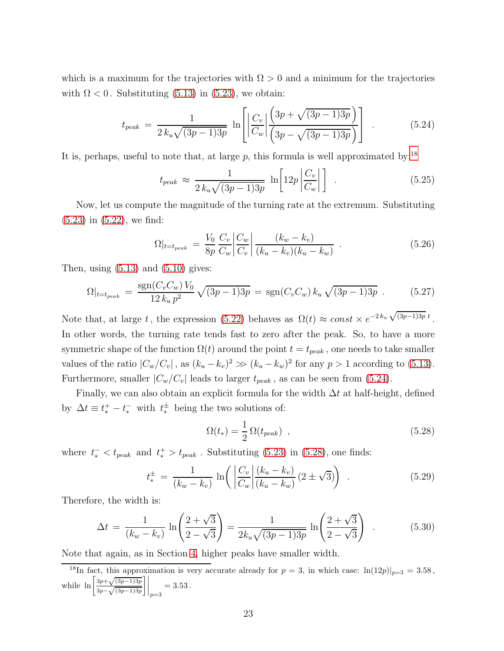which is a maximum for the trajectories with  $\Omega > 0$  and a minimum for the trajectories with  $\Omega < 0$ . Substituting [\(5.13\)](#page-21-3) in [\(5.23\)](#page-22-4), we obtain:

<span id="page-23-1"></span>
$$
t_{peak} = \frac{1}{2 k_u \sqrt{(3p-1)3p}} \ln \left[ \left| \frac{C_v}{C_w} \right| \frac{\left(3p + \sqrt{(3p-1)3p}\right)}{\left(3p - \sqrt{(3p-1)3p}\right)} \right]. \tag{5.24}
$$

It is, perhaps, useful to note that, at large  $p$ , this formula is well approximated by:<sup>[18](#page-23-0)</sup>

$$
t_{peak} \approx \frac{1}{2 k_u \sqrt{(3p-1)3p}} \ln \left[ 12p \left| \frac{C_v}{C_w} \right| \right] \quad . \tag{5.25}
$$

Now, let us compute the magnitude of the turning rate at the extremum. Substituting [\(5.23\)](#page-22-4) in [\(5.22\)](#page-22-3), we find:

$$
\Omega|_{t=t_{peak}} = \frac{V_0}{8p} \frac{C_v}{C_w} \left| \frac{C_w}{C_v} \right| \frac{(k_w - k_v)}{(k_u - k_v)(k_u - k_w)} \quad . \tag{5.26}
$$

Then, using  $(5.13)$  and  $(5.10)$  gives:

<span id="page-23-3"></span>
$$
\Omega|_{t=t_{peak}} = \frac{\text{sgn}(C_v C_w) V_0}{12 k_u p^2} \sqrt{(3p-1)3p} = \text{sgn}(C_v C_w) k_u \sqrt{(3p-1)3p} . \tag{5.27}
$$

Note that, at large t, the expression [\(5.22\)](#page-22-3) behaves as  $\Omega(t) \approx const \times e^{-2k_u \sqrt{(3p-1)3p} t}$ . In other words, the turning rate tends fast to zero after the peak. So, to have a more symmetric shape of the function  $\Omega(t)$  around the point  $t = t_{peak}$ , one needs to take smaller values of the ratio  $|C_w/C_v|$ , as  $(k_u - k_v)^2 \gg (k_u - k_w)^2$  for any  $p > 1$  according to [\(5.13\)](#page-21-3). Furthermore, smaller  $|C_w/C_v|$  leads to larger  $t_{peak}$ , as can be seen from [\(5.24\)](#page-23-1).

Finally, we can also obtain an explicit formula for the width  $\Delta t$  at half-height, defined by  $\Delta t \equiv t_*^+ - t_*^-$  with  $t_*^{\pm}$  being the two solutions of:

<span id="page-23-2"></span>
$$
\Omega(t_*) = \frac{1}{2} \Omega(t_{peak}) \quad , \tag{5.28}
$$

where  $t_*^- < t_{peak}$  and  $t_*^+ > t_{peak}$ . Substituting [\(5.23\)](#page-22-4) in [\(5.28\)](#page-23-2), one finds:

$$
t_{*}^{\pm} = \frac{1}{(k_{w} - k_{v})} \ln \left( \left| \frac{C_{v}}{C_{w}} \right| \frac{(k_{u} - k_{v})}{(k_{u} - k_{w})} (2 \pm \sqrt{3}) \right) . \tag{5.29}
$$

Therefore, the width is:

$$
\Delta t = \frac{1}{(k_w - k_v)} \ln \left( \frac{2 + \sqrt{3}}{2 - \sqrt{3}} \right) = \frac{1}{2k_u \sqrt{(3p - 1)3p}} \ln \left( \frac{2 + \sqrt{3}}{2 - \sqrt{3}} \right) . \tag{5.30}
$$

Note that again, as in Section [4,](#page-10-0) higher peaks have smaller width.

<span id="page-23-0"></span><sup>&</sup>lt;sup>18</sup>In fact, this approximation is very accurate already for  $p = 3$ , in which case:  $\ln(12p)|_{p=3} = 3.58$ , while  $\ln \left[\frac{3p+\sqrt{(3p-1)3p}}{2}\right]$  $\frac{1}{3p-\sqrt{(3p-1)3p}}$  $\bigg] \bigg|_{p=3}$  $= 3.53$ .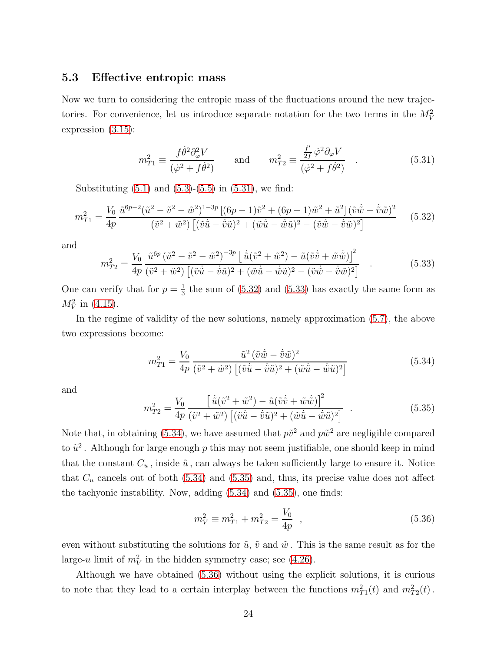#### <span id="page-24-0"></span>5.3 Effective entropic mass

Now we turn to considering the entropic mass of the fluctuations around the new trajectories. For convenience, let us introduce separate notation for the two terms in the  $M_V^2$ expression [\(3.15\)](#page-10-4):

<span id="page-24-1"></span>
$$
m_{T1}^2 \equiv \frac{f\dot{\theta}^2 \partial_\varphi^2 V}{(\dot{\varphi}^2 + f\dot{\theta}^2)} \quad \text{and} \quad m_{T2}^2 \equiv \frac{\frac{f'}{2f} \dot{\varphi}^2 \partial_\varphi V}{(\dot{\varphi}^2 + f\dot{\theta}^2)} \quad . \tag{5.31}
$$

Substituting  $(5.1)$  and  $(5.3)-(5.5)$  $(5.3)-(5.5)$  in  $(5.31)$ , we find:

<span id="page-24-2"></span>
$$
m_{T1}^2 = \frac{V_0}{4p} \frac{\tilde{u}^{6p-2}(\tilde{u}^2 - \tilde{v}^2 - \tilde{w}^2)^{1-3p} \left[ (6p-1)\tilde{v}^2 + (6p-1)\tilde{w}^2 + \tilde{u}^2 \right] (\tilde{v}\dot{\tilde{w}} - \dot{\tilde{v}}\tilde{w})^2}{(\tilde{v}^2 + \tilde{w}^2) \left[ (\tilde{v}\dot{\tilde{u}} - \dot{\tilde{v}}\tilde{u})^2 + (\tilde{w}\dot{\tilde{u}} - \dot{\tilde{w}}\tilde{u})^2 - (\tilde{v}\dot{\tilde{w}} - \dot{\tilde{v}}\tilde{w})^2 \right]}
$$
(5.32)

and

<span id="page-24-3"></span>
$$
m_{T2}^2 = \frac{V_0}{4p} \frac{\tilde{u}^{6p} (\tilde{u}^2 - \tilde{v}^2 - \tilde{w}^2)^{-3p} [\dot{\tilde{u}} (\tilde{v}^2 + \tilde{w}^2) - \tilde{u} (\tilde{v}\dot{\tilde{v}} + \tilde{w}\dot{\tilde{w}})]^2}{(\tilde{v}^2 + \tilde{w}^2) [(\tilde{v}\dot{\tilde{u}} - \dot{\tilde{v}}\tilde{u})^2 + (\tilde{w}\dot{\tilde{u}} - \dot{\tilde{w}}\tilde{u})^2 - (\tilde{v}\dot{\tilde{w}} - \dot{\tilde{v}}\tilde{w})^2]}
$$
\n(5.33)

One can verify that for  $p=\frac{1}{3}$  $\frac{1}{3}$  the sum of [\(5.32\)](#page-24-2) and [\(5.33\)](#page-24-3) has exactly the same form as  $M_V^2$  in [\(4.15\)](#page-14-1).

In the regime of validity of the new solutions, namely approximation [\(5.7\)](#page-20-4), the above two expressions become:

<span id="page-24-4"></span>
$$
m_{T1}^2 = \frac{V_0}{4p} \frac{\tilde{u}^2 (\tilde{v}\dot{\tilde{w}} - \dot{\tilde{v}}\tilde{w})^2}{(\tilde{v}^2 + \tilde{w}^2) \left[ (\tilde{v}\dot{\tilde{u}} - \dot{\tilde{v}}\tilde{u})^2 + (\tilde{w}\dot{\tilde{u}} - \dot{\tilde{w}}\tilde{u})^2 \right]}
$$
(5.34)

and

<span id="page-24-5"></span>
$$
m_{T2}^2 = \frac{V_0}{4p} \frac{\left[\,\dot{\tilde{u}}(\tilde{v}^2 + \tilde{w}^2) - \tilde{u}(\tilde{v}\dot{\tilde{v}} + \tilde{w}\dot{\tilde{w}})\right]^2}{\left[\left(\tilde{v}\dot{\tilde{u}} - \dot{\tilde{v}}\tilde{u}\right)^2 + \left(\tilde{w}\dot{\tilde{u}} - \dot{\tilde{w}}\tilde{u}\right)^2\right]} \quad . \tag{5.35}
$$

Note that, in obtaining [\(5.34\)](#page-24-4), we have assumed that  $p\tilde{v}^2$  and  $p\tilde{w}^2$  are negligible compared to  $\tilde{u}^2$ . Although for large enough p this may not seem justifiable, one should keep in mind that the constant  $C_u$ , inside  $\tilde{u}$ , can always be taken sufficiently large to ensure it. Notice that  $C_u$  cancels out of both  $(5.34)$  and  $(5.35)$  and, thus, its precise value does not affect the tachyonic instability. Now, adding [\(5.34\)](#page-24-4) and [\(5.35\)](#page-24-5), one finds:

<span id="page-24-6"></span>
$$
m_V^2 \equiv m_{T1}^2 + m_{T2}^2 = \frac{V_0}{4p} \quad , \tag{5.36}
$$

even without substituting the solutions for  $\tilde{u}$ ,  $\tilde{v}$  and  $\tilde{w}$ . This is the same result as for the large-u limit of  $m_V^2$  in the hidden symmetry case; see [\(4.26\)](#page-17-1).

Although we have obtained [\(5.36\)](#page-24-6) without using the explicit solutions, it is curious to note that they lead to a certain interplay between the functions  $m_{T_1}^2(t)$  and  $m_{T_2}^2(t)$ .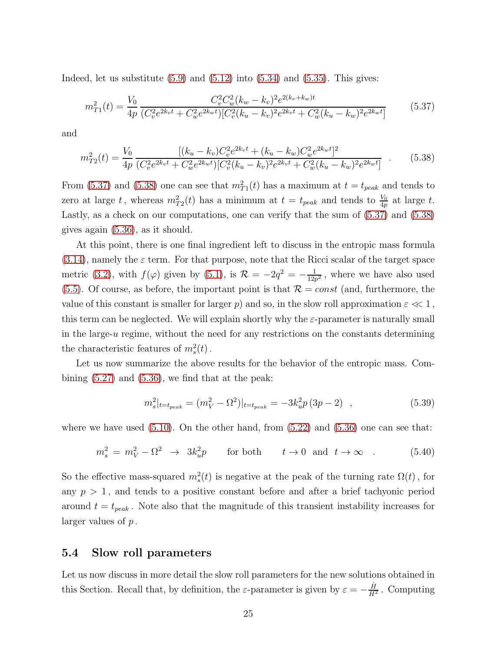Indeed, let us substitute  $(5.9)$  and  $(5.12)$  into  $(5.34)$  and  $(5.35)$ . This gives:

<span id="page-25-1"></span>
$$
m_{T1}^2(t) = \frac{V_0}{4p} \frac{C_v^2 C_w^2 (k_w - k_v)^2 e^{2(k_v + k_w)t}}{(C_v^2 e^{2k_v t} + C_w^2 e^{2k_w t}) [C_v^2 (k_u - k_v)^2 e^{2k_v t} + C_w^2 (k_u - k_w)^2 e^{2k_w t}]}
$$
(5.37)

and

<span id="page-25-2"></span>
$$
m_{T2}^2(t) = \frac{V_0}{4p} \frac{[(k_u - k_v)C_v^2 e^{2k_v t} + (k_u - k_w)C_w^2 e^{2k_w t}]^2}{(C_v^2 e^{2k_v t} + C_w^2 e^{2k_w t})[C_v^2 (k_u - k_v)^2 e^{2k_v t} + C_w^2 (k_u - k_w)^2 e^{2k_w t}]}
$$
(5.38)

From [\(5.37\)](#page-25-1) and [\(5.38\)](#page-25-2) one can see that  $m_{T1}^2(t)$  has a maximum at  $t = t_{peak}$  and tends to zero at large t, whereas  $m_{T2}^2(t)$  has a minimum at  $t = t_{peak}$  and tends to  $\frac{V_0}{4p}$  at large t. Lastly, as a check on our computations, one can verify that the sum of [\(5.37\)](#page-25-1) and [\(5.38\)](#page-25-2) gives again [\(5.36\)](#page-24-6), as it should.

At this point, there is one final ingredient left to discuss in the entropic mass formula  $(3.14)$ , namely the  $\varepsilon$  term. For that purpose, note that the Ricci scalar of the target space metric [\(3.2\)](#page-8-1), with  $f(\varphi)$  given by [\(5.1\)](#page-19-3), is  $\mathcal{R} = -2q^2 = -\frac{1}{12q}$  $\frac{1}{12p^2}$ , where we have also used  $(5.5)$ . Of course, as before, the important point is that  $\mathcal{R} = const$  (and, furthermore, the value of this constant is smaller for larger p) and so, in the slow roll approximation  $\varepsilon \ll 1$ , this term can be neglected. We will explain shortly why the  $\varepsilon$ -parameter is naturally small in the large- $u$  regime, without the need for any restrictions on the constants determining the characteristic features of  $m_s^2(t)$ .

Let us now summarize the above results for the behavior of the entropic mass. Combining  $(5.27)$  and  $(5.36)$ , we find that at the peak:

<span id="page-25-3"></span>
$$
m_s^2|_{t=t_{peak}} = (m_V^2 - \Omega^2)|_{t=t_{peak}} = -3k_u^2 p(3p - 2) \quad , \tag{5.39}
$$

where we have used  $(5.10)$ . On the other hand, from  $(5.22)$  and  $(5.36)$  one can see that:

<span id="page-25-4"></span>
$$
m_s^2 = m_V^2 - \Omega^2 \rightarrow 3k_u^2 p \qquad \text{for both} \qquad t \rightarrow 0 \text{ and } t \rightarrow \infty \quad . \tag{5.40}
$$

So the effective mass-squared  $m_s^2(t)$  is negative at the peak of the turning rate  $\Omega(t)$ , for any  $p > 1$ , and tends to a positive constant before and after a brief tachyonic period around  $t = t_{peak}$ . Note also that the magnitude of this transient instability increases for larger values of p .

#### <span id="page-25-0"></span>5.4 Slow roll parameters

Let us now discuss in more detail the slow roll parameters for the new solutions obtained in this Section. Recall that, by definition, the  $\varepsilon$ -parameter is given by  $\varepsilon = -\frac{\dot{H}}{H}$  $\frac{H}{H^2}$ . Computing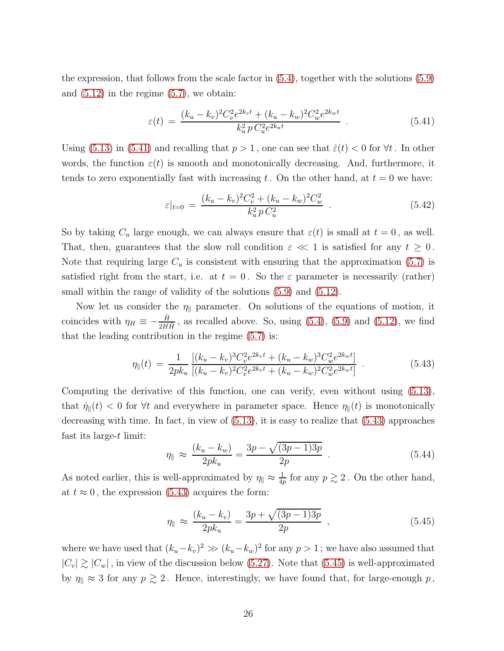the expression, that follows from the scale factor in [\(5.4\)](#page-20-0), together with the solutions [\(5.9\)](#page-20-8) and  $(5.12)$  in the regime  $(5.7)$ , we obtain:

<span id="page-26-0"></span>
$$
\varepsilon(t) = \frac{(k_u - k_v)^2 C_v^2 e^{2k_v t} + (k_u - k_w)^2 C_w^2 e^{2k_w t}}{k_u^2 p C_u^2 e^{2k_u t}} \tag{5.41}
$$

Using [\(5.13\)](#page-21-3) in [\(5.41\)](#page-26-0) and recalling that  $p > 1$ , one can see that  $\dot{\varepsilon}(t) < 0$  for  $\forall t$ . In other words, the function  $\varepsilon(t)$  is smooth and monotonically decreasing. And, furthermore, it tends to zero exponentially fast with increasing t. On the other hand, at  $t = 0$  we have:

$$
\varepsilon|_{t=0} = \frac{(k_u - k_v)^2 C_v^2 + (k_u - k_w)^2 C_w^2}{k_u^2 p C_u^2} \tag{5.42}
$$

So by taking  $C_u$  large enough, we can always ensure that  $\varepsilon(t)$  is small at  $t = 0$ , as well. That, then, guarantees that the slow roll condition  $\varepsilon \ll 1$  is satisfied for any  $t \geq 0$ . Note that requiring large  $C_u$  is consistent with ensuring that the approximation [\(5.7\)](#page-20-4) is satisfied right from the start, i.e. at  $t = 0$ . So the  $\varepsilon$  parameter is necessarily (rather) small within the range of validity of the solutions  $(5.9)$  and  $(5.12)$ .

Now let us consider the  $\eta_{\parallel}$  parameter. On solutions of the equations of motion, it coincides with  $\eta_H \equiv -\frac{\ddot{H}}{2H\dot{H}}$ , as recalled above. So, using [\(5.4\)](#page-20-0), [\(5.9\)](#page-20-8) and [\(5.12\)](#page-20-9), we find that the leading contribution in the regime [\(5.7\)](#page-20-4) is:

<span id="page-26-1"></span>
$$
\eta_{\parallel}(t) = \frac{1}{2pk_u} \frac{[(k_u - k_v)^3 C_v^2 e^{2k_v t} + (k_u - k_w)^3 C_w^2 e^{2k_w t}]}{[(k_u - k_v)^2 C_v^2 e^{2k_v t} + (k_u - k_w)^2 C_w^2 e^{2k_w t}]} \tag{5.43}
$$

Computing the derivative of this function, one can verify, even without using [\(5.13\)](#page-21-3), that  $\dot{\eta}_{\parallel}(t) < 0$  for  $\forall t$  and everywhere in parameter space. Hence  $\eta_{\parallel}(t)$  is monotonically decreasing with time. In fact, in view of [\(5.13\)](#page-21-3), it is easy to realize that [\(5.43\)](#page-26-1) approaches fast its large-t limit:

$$
\eta_{\parallel} \approx \frac{(k_u - k_w)}{2pk_u} = \frac{3p - \sqrt{(3p - 1)3p}}{2p} \tag{5.44}
$$

As noted earlier, this is well-approximated by  $\eta_{\parallel} \approx \frac{1}{4q}$  $\frac{1}{4p}$  for any  $p \gtrsim 2$ . On the other hand, at  $t \approx 0$ , the expression [\(5.43\)](#page-26-1) acquires the form:

<span id="page-26-2"></span>
$$
\eta_{\parallel} \approx \frac{(k_u - k_v)}{2pk_u} = \frac{3p + \sqrt{(3p - 1)3p}}{2p} , \qquad (5.45)
$$

where we have used that  $(k_u-k_v)^2 \gg (k_u-k_w)^2$  for any  $p > 1$ ; we have also assumed that  $|C_v| \gtrsim |C_w|$ , in view of the discussion below [\(5.27\)](#page-23-3). Note that [\(5.45\)](#page-26-2) is well-approximated by  $\eta_{\parallel} \approx 3$  for any  $p \gtrsim 2$ . Hence, interestingly, we have found that, for large-enough  $p$ ,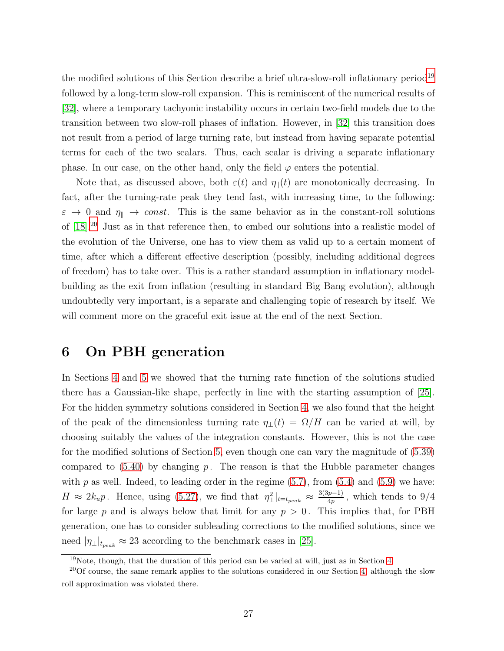the modified solutions of this Section describe a brief ultra-slow-roll inflationary period<sup>[19](#page-27-1)</sup> followed by a long-term slow-roll expansion. This is reminiscent of the numerical results of [\[32\]](#page-45-0), where a temporary tachyonic instability occurs in certain two-field models due to the transition between two slow-roll phases of inflation. However, in [\[32\]](#page-45-0) this transition does not result from a period of large turning rate, but instead from having separate potential terms for each of the two scalars. Thus, each scalar is driving a separate inflationary phase. In our case, on the other hand, only the field  $\varphi$  enters the potential.

Note that, as discussed above, both  $\varepsilon(t)$  and  $\eta_{\parallel}(t)$  are monotonically decreasing. In fact, after the turning-rate peak they tend fast, with increasing time, to the following:  $\varepsilon \to 0$  and  $\eta_{\parallel} \to const.$  This is the same behavior as in the constant-roll solutions of [\[18\]](#page-43-6).[20](#page-27-2) Just as in that reference then, to embed our solutions into a realistic model of the evolution of the Universe, one has to view them as valid up to a certain moment of time, after which a different effective description (possibly, including additional degrees of freedom) has to take over. This is a rather standard assumption in inflationary modelbuilding as the exit from inflation (resulting in standard Big Bang evolution), although undoubtedly very important, is a separate and challenging topic of research by itself. We will comment more on the graceful exit issue at the end of the next Section.

### <span id="page-27-0"></span>6 On PBH generation

In Sections [4](#page-10-0) and [5](#page-18-0) we showed that the turning rate function of the solutions studied there has a Gaussian-like shape, perfectly in line with the starting assumption of [\[25\]](#page-44-1). For the hidden symmetry solutions considered in Section [4,](#page-10-0) we also found that the height of the peak of the dimensionless turning rate  $\eta_{\perp}(t) = \Omega/H$  can be varied at will, by choosing suitably the values of the integration constants. However, this is not the case for the modified solutions of Section [5,](#page-18-0) even though one can vary the magnitude of [\(5.39\)](#page-25-3) compared to  $(5.40)$  by changing p. The reason is that the Hubble parameter changes with  $p$  as well. Indeed, to leading order in the regime  $(5.7)$ , from  $(5.4)$  and  $(5.9)$  we have:  $H \approx 2k_u p$ . Hence, using [\(5.27\)](#page-23-3), we find that  $\eta_{\perp}^2|_{t=t_{peak}} \approx \frac{3(3p-1)}{4p}$ , which tends to 9/4 for large p and is always below that limit for any  $p > 0$ . This implies that, for PBH generation, one has to consider subleading corrections to the modified solutions, since we need  $|\eta_{\perp}|_{t_{peak}} \approx 23$  according to the benchmark cases in [\[25\]](#page-44-1).

<span id="page-27-1"></span> $19$ Note, though, that the duration of this period can be varied at will, just as in Section [4.](#page-10-0)

<span id="page-27-2"></span><sup>&</sup>lt;sup>20</sup>Of course, the same remark applies to the solutions considered in our Section [4,](#page-10-0) although the slow roll approximation was violated there.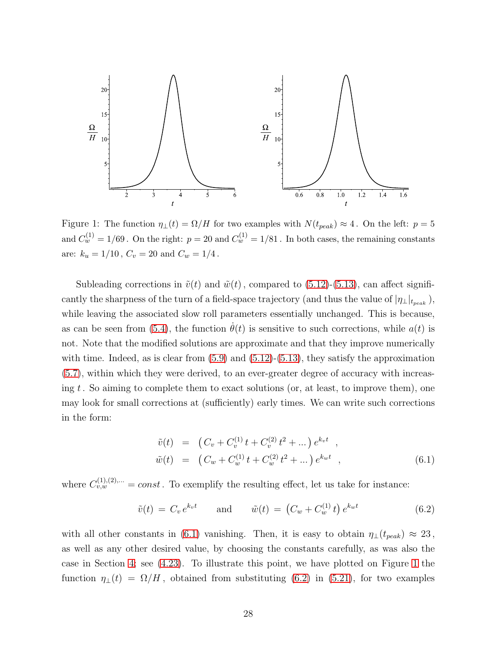

<span id="page-28-1"></span>Figure 1: The function  $\eta_{\perp}(t) = \Omega/H$  for two examples with  $N(t_{peak}) \approx 4$ . On the left:  $p = 5$ and  $C_w^{(1)} = 1/69$ . On the right:  $p = 20$  and  $C_w^{(1)} = 1/81$ . In both cases, the remaining constants are:  $k_u = 1/10$ ,  $C_v = 20$  and  $C_w = 1/4$ .

Subleading corrections in  $\tilde{v}(t)$  and  $\tilde{w}(t)$ , compared to [\(5.12\)](#page-20-9)-[\(5.13\)](#page-21-3), can affect significantly the sharpness of the turn of a field-space trajectory (and thus the value of  $|\eta_{\perp}|_{t_{peak}}$ ), while leaving the associated slow roll parameters essentially unchanged. This is because, as can be seen from [\(5.4\)](#page-20-0), the function  $\theta(t)$  is sensitive to such corrections, while  $a(t)$  is not. Note that the modified solutions are approximate and that they improve numerically with time. Indeed, as is clear from  $(5.9)$  and  $(5.12)-(5.13)$  $(5.12)-(5.13)$ , they satisfy the approximation [\(5.7\)](#page-20-4), within which they were derived, to an ever-greater degree of accuracy with increasing t. So aiming to complete them to exact solutions (or, at least, to improve them), one may look for small corrections at (sufficiently) early times. We can write such corrections in the form:

<span id="page-28-0"></span>
$$
\tilde{v}(t) = (C_v + C_v^{(1)}t + C_v^{(2)}t^2 + \dots) e^{k_v t} ,
$$
  
\n
$$
\tilde{w}(t) = (C_w + C_w^{(1)}t + C_w^{(2)}t^2 + \dots) e^{k_w t} ,
$$
\n(6.1)

where  $C_{v,w}^{(1),(2),...} = const.$  To exemplify the resulting effect, let us take for instance:

<span id="page-28-2"></span>
$$
\tilde{v}(t) = C_v e^{k_v t} \qquad \text{and} \qquad \tilde{w}(t) = \left(C_w + C_w^{(1)} t\right) e^{k_w t} \tag{6.2}
$$

with all other constants in [\(6.1\)](#page-28-0) vanishing. Then, it is easy to obtain  $\eta_{\perp}(t_{peak}) \approx 23$ , as well as any other desired value, by choosing the constants carefully, as was also the case in Section [4;](#page-10-0) see [\(4.23\)](#page-16-4). To illustrate this point, we have plotted on Figure [1](#page-28-1) the function  $\eta_{\perp}(t) = \Omega/H$ , obtained from substituting [\(6.2\)](#page-28-2) in [\(5.21\)](#page-22-5), for two examples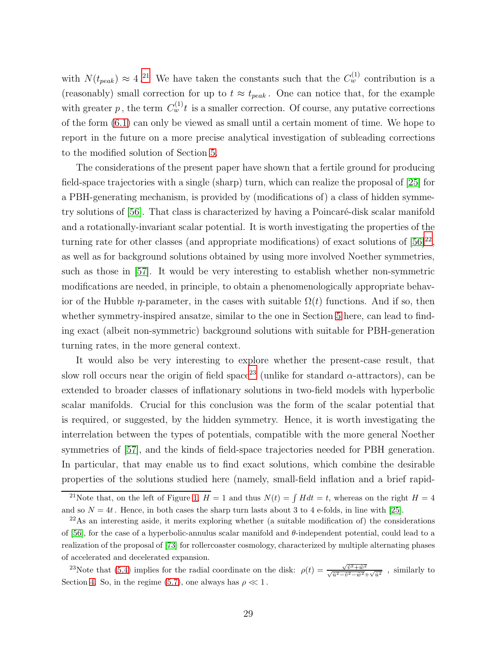with  $N(t_{peak}) \approx 4^{21}$  $N(t_{peak}) \approx 4^{21}$  $N(t_{peak}) \approx 4^{21}$  We have taken the constants such that the  $C_w^{(1)}$  contribution is a (reasonably) small correction for up to  $t \approx t_{peak}$ . One can notice that, for the example with greater p, the term  $C_w^{(1)}$  is a smaller correction. Of course, any putative corrections of the form [\(6.1\)](#page-28-0) can only be viewed as small until a certain moment of time. We hope to report in the future on a more precise analytical investigation of subleading corrections to the modified solution of Section [5.](#page-18-0)

The considerations of the present paper have shown that a fertile ground for producing field-space trajectories with a single (sharp) turn, which can realize the proposal of [\[25\]](#page-44-1) for a PBH-generating mechanism, is provided by (modifications of) a class of hidden symmetry solutions of  $[56]$ . That class is characterized by having a Poincaré-disk scalar manifold and a rotationally-invariant scalar potential. It is worth investigating the properties of the turning rate for other classes (and appropriate modifications) of exact solutions of  $[56]^{22}$  $[56]^{22}$  $[56]^{22}$ , as well as for background solutions obtained by using more involved Noether symmetries, such as those in [\[57\]](#page-47-6). It would be very interesting to establish whether non-symmetric modifications are needed, in principle, to obtain a phenomenologically appropriate behavior of the Hubble  $\eta$ -parameter, in the cases with suitable  $\Omega(t)$  functions. And if so, then whether symmetry-inspired ansatze, similar to the one in Section [5](#page-18-0) here, can lead to finding exact (albeit non-symmetric) background solutions with suitable for PBH-generation turning rates, in the more general context.

It would also be very interesting to explore whether the present-case result, that slow roll occurs near the origin of field space<sup>[23](#page-29-2)</sup> (unlike for standard  $\alpha$ -attractors), can be extended to broader classes of inflationary solutions in two-field models with hyperbolic scalar manifolds. Crucial for this conclusion was the form of the scalar potential that is required, or suggested, by the hidden symmetry. Hence, it is worth investigating the interrelation between the types of potentials, compatible with the more general Noether symmetries of [\[57\]](#page-47-6), and the kinds of field-space trajectories needed for PBH generation. In particular, that may enable us to find exact solutions, which combine the desirable properties of the solutions studied here (namely, small-field inflation and a brief rapid-

<span id="page-29-0"></span><sup>&</sup>lt;sup>21</sup>Note that, on the left of Figure [1,](#page-28-1)  $H = 1$  and thus  $N(t) = \int H dt = t$ , whereas on the right  $H = 4$ and so  $N = 4t$ . Hence, in both cases the sharp turn lasts about 3 to 4 e-folds, in line with [\[25\]](#page-44-1).

<span id="page-29-1"></span><sup>22</sup>As an interesting aside, it merits exploring whether (a suitable modification of) the considerations of [\[56\]](#page-47-4), for the case of a hyperbolic-annulus scalar manifold and  $\theta$ -independent potential, could lead to a realization of the proposal of [\[73\]](#page-48-5) for rollercoaster cosmology, characterized by multiple alternating phases of accelerated and decelerated expansion.

<span id="page-29-2"></span><sup>&</sup>lt;sup>23</sup>Note that [\(5.4\)](#page-20-0) implies for the radial coordinate on the disk:  $\rho(t) = \frac{\sqrt{\tilde{v}^2 + \tilde{w}^2}}{\sqrt{\tilde{u}^2 - \tilde{v}^2 - \tilde{w}^2} + \sqrt{\tilde{u}^2}}$ , similarly to Section [4.](#page-10-0) So, in the regime [\(5.7\)](#page-20-4), one always has  $\rho \ll 1$ .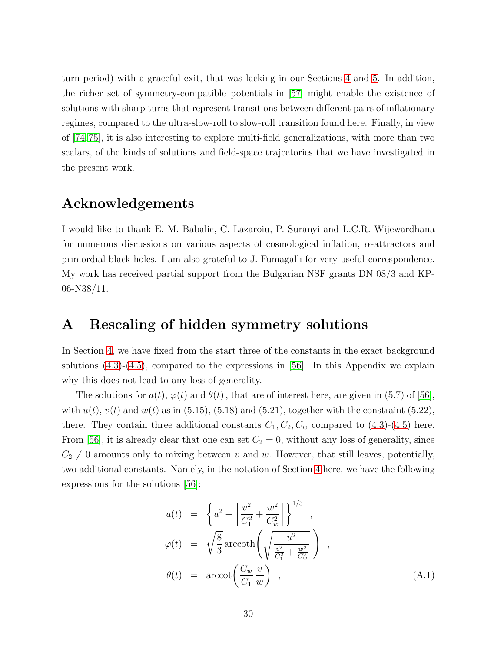turn period) with a graceful exit, that was lacking in our Sections [4](#page-10-0) and [5.](#page-18-0) In addition, the richer set of symmetry-compatible potentials in [\[57\]](#page-47-6) might enable the existence of solutions with sharp turns that represent transitions between different pairs of inflationary regimes, compared to the ultra-slow-roll to slow-roll transition found here. Finally, in view of [\[74,](#page-48-6)[75\]](#page-48-3), it is also interesting to explore multi-field generalizations, with more than two scalars, of the kinds of solutions and field-space trajectories that we have investigated in the present work.

### Acknowledgements

I would like to thank E. M. Babalic, C. Lazaroiu, P. Suranyi and L.C.R. Wijewardhana for numerous discussions on various aspects of cosmological inflation,  $\alpha$ -attractors and primordial black holes. I am also grateful to J. Fumagalli for very useful correspondence. My work has received partial support from the Bulgarian NSF grants DN 08/3 and KP-06-N38/11.

### <span id="page-30-0"></span>A Rescaling of hidden symmetry solutions

In Section [4,](#page-10-0) we have fixed from the start three of the constants in the exact background solutions  $(4.3)-(4.5)$  $(4.3)-(4.5)$ , compared to the expressions in [\[56\]](#page-47-4). In this Appendix we explain why this does not lead to any loss of generality.

The solutions for  $a(t)$ ,  $\varphi(t)$  and  $\theta(t)$ , that are of interest here, are given in (5.7) of [\[56\]](#page-47-4), with  $u(t)$ ,  $v(t)$  and  $w(t)$  as in (5.15), (5.18) and (5.21), together with the constraint (5.22), there. They contain three additional constants  $C_1, C_2, C_w$  compared to  $(4.3)-(4.5)$  $(4.3)-(4.5)$  here. From [\[56\]](#page-47-4), it is already clear that one can set  $C_2 = 0$ , without any loss of generality, since  $C_2 \neq 0$  amounts only to mixing between v and w. However, that still leaves, potentially, two additional constants. Namely, in the notation of Section [4](#page-10-0) here, we have the following expressions for the solutions [\[56\]](#page-47-4):

<span id="page-30-1"></span>
$$
a(t) = \left\{ u^2 - \left[ \frac{v^2}{C_1^2} + \frac{w^2}{C_w^2} \right] \right\}^{1/3},
$$
  
\n
$$
\varphi(t) = \sqrt{\frac{8}{3}} \operatorname{arccoth}\left(\sqrt{\frac{u^2}{\frac{v^2}{C_1^2} + \frac{w^2}{C_w^2}}} \right),
$$
  
\n
$$
\theta(t) = \operatorname{arccot}\left(\frac{C_w}{C_1} \frac{v}{w}\right),
$$
\n(A.1)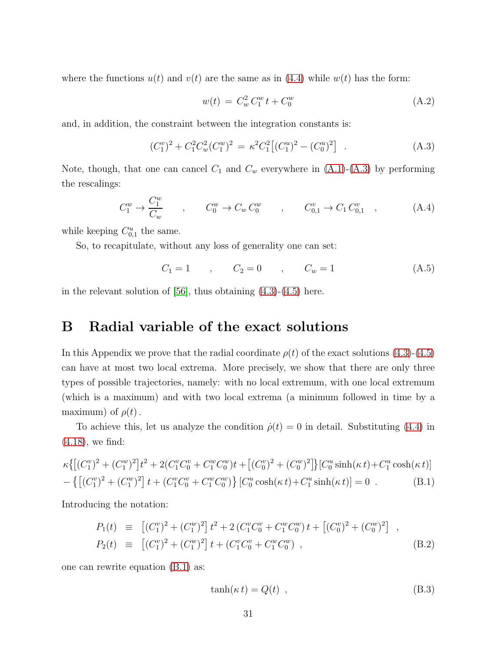where the functions  $u(t)$  and  $v(t)$  are the same as in [\(4.4\)](#page-11-2) while  $w(t)$  has the form:

$$
w(t) = C_w^2 C_1^w t + C_0^w \tag{A.2}
$$

and, in addition, the constraint between the integration constants is:

<span id="page-31-2"></span>
$$
(C_1^v)^2 + C_1^2 C_w^2 (C_1^w)^2 = \kappa^2 C_1^2 [(C_1^u)^2 - (C_0^u)^2]. \tag{A.3}
$$

Note, though, that one can cancel  $C_1$  and  $C_w$  everywhere in  $(A.1)-(A.3)$  $(A.1)-(A.3)$  by performing the rescalings:

$$
C_1^w \to \frac{C_1^w}{C_w} \qquad , \qquad C_0^w \to C_w C_0^w \qquad , \qquad C_{0,1}^v \to C_1 C_{0,1}^v \qquad , \tag{A.4}
$$

while keeping  $C_{0,1}^u$  the same.

So, to recapitulate, without any loss of generality one can set:

<span id="page-31-1"></span>
$$
C_1 = 1 \qquad , \qquad C_2 = 0 \qquad , \qquad C_w = 1 \tag{A.5}
$$

<span id="page-31-0"></span>in the relevant solution of  $[56]$ , thus obtaining  $(4.3)-(4.5)$  $(4.3)-(4.5)$  here.

### B Radial variable of the exact solutions

In this Appendix we prove that the radial coordinate  $\rho(t)$  of the exact solutions [\(4.3\)](#page-11-3)-[\(4.5\)](#page-11-4) can have at most two local extrema. More precisely, we show that there are only three types of possible trajectories, namely: with no local extremum, with one local extremum (which is a maximum) and with two local extrema (a minimum followed in time by a maximum) of  $\rho(t)$ .

To achieve this, let us analyze the condition  $\dot{\rho}(t) = 0$  in detail. Substituting [\(4.4\)](#page-11-2) in [\(4.18\)](#page-14-4), we find:

<span id="page-31-3"></span>
$$
\kappa \{ \left[ (C_1^v)^2 + (C_1^w)^2 \right] t^2 + 2(C_1^v C_0^v + C_1^w C_0^w) t + \left[ (C_0^v)^2 + (C_0^w)^2 \right] \} \left[ C_0^u \sinh(\kappa t) + C_1^u \cosh(\kappa t) \right] - \left\{ \left[ (C_1^v)^2 + (C_1^w)^2 \right] t + (C_1^v C_0^v + C_1^w C_0^w) \right\} \left[ C_0^u \cosh(\kappa t) + C_1^u \sinh(\kappa t) \right] = 0 \quad (B.1)
$$

Introducing the notation:

$$
P_1(t) \equiv \left[ (C_1^v)^2 + (C_1^w)^2 \right] t^2 + 2 \left( C_1^v C_0^v + C_1^w C_0^w \right) t + \left[ (C_0^v)^2 + (C_0^w)^2 \right] ,
$$
  
\n
$$
P_2(t) \equiv \left[ (C_1^v)^2 + (C_1^w)^2 \right] t + (C_1^v C_0^v + C_1^w C_0^w) ,
$$
 (B.2)

one can rewrite equation [\(B.1\)](#page-31-3) as:

<span id="page-31-4"></span>
$$
\tanh(\kappa t) = Q(t) \t\t(B.3)
$$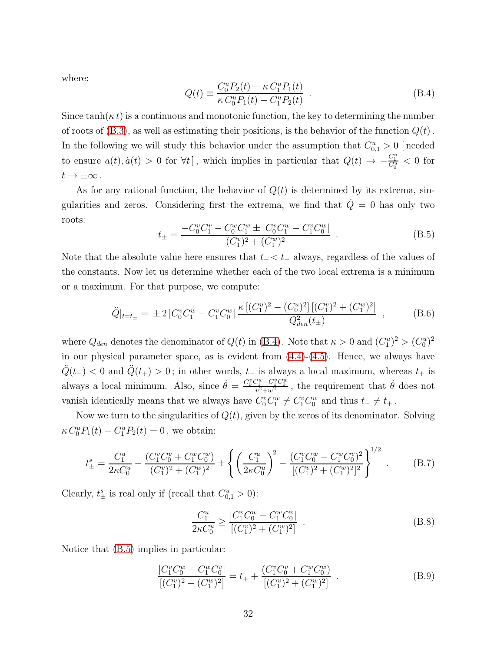where:

<span id="page-32-1"></span>
$$
Q(t) \equiv \frac{C_0^u P_2(t) - \kappa C_1^u P_1(t)}{\kappa C_0^u P_1(t) - C_1^u P_2(t)}.
$$
\n(B.4)

Since  $tanh(\kappa t)$  is a continuous and monotonic function, the key to determining the number of roots of  $(B.3)$ , as well as estimating their positions, is the behavior of the function  $Q(t)$ . In the following we will study this behavior under the assumption that  $C_{0,1}^u > 0$  [needed to ensure  $a(t), \dot{a}(t) > 0$  for  $\forall t$ , which implies in particular that  $Q(t) \rightarrow -\frac{C_1^u}{C_0^u} < 0$  for  $t \to \pm \infty$ .

As for any rational function, the behavior of  $Q(t)$  is determined by its extrema, singularities and zeros. Considering first the extrema, we find that  $\dot{Q}=0$  has only two roots:

<span id="page-32-2"></span>
$$
t_{\pm} = \frac{-C_0^v C_1^v - C_0^w C_1^w \pm |C_0^v C_1^w - C_1^v C_0^w|}{(C_1^v)^2 + (C_1^w)^2} . \tag{B.5}
$$

Note that the absolute value here ensures that  $t_$   $<$   $t_+$  always, regardless of the values of the constants. Now let us determine whether each of the two local extrema is a minimum or a maximum. For that purpose, we compute:

<span id="page-32-5"></span>
$$
\ddot{Q}|_{t=t_{\pm}} = \pm 2 \left| C_0^v C_1^w - C_1^v C_0^w \right| \frac{\kappa \left[ (C_1^u)^2 - (C_0^u)^2 \right] \left[ (C_1^v)^2 + (C_1^w)^2 \right]}{Q_{den}^2(t_{\pm})} ,\tag{B.6}
$$

where  $Q_{den}$  denotes the denominator of  $Q(t)$  in [\(B.4\)](#page-32-1). Note that  $\kappa > 0$  and  $(C_1^u)^2 > (C_0^u)^2$ in our physical parameter space, as is evident from [\(4.4\)](#page-11-2)-[\(4.5\)](#page-11-4). Hence, we always have  $\ddot{Q}(t_{-})$  < 0 and  $\ddot{Q}(t_{+}) > 0$ ; in other words,  $t_{-}$  is always a local maximum, whereas  $t_{+}$  is always a local minimum. Also, since  $\dot{\theta} = \frac{C_0^v C_1^w - C_1^v C_0^w}{v^2 + w^2}$ , the requirement that  $\dot{\theta}$  does not vanish identically means that we always have  $C_0^v C_1^w \neq C_1^v C_0^w$  and thus  $t_- \neq t_+$ .

Now we turn to the singularities of  $Q(t)$ , given by the zeros of its denominator. Solving  $\kappa C_0^u P_1(t) - C_1^u P_2(t) = 0$ , we obtain:

<span id="page-32-0"></span>
$$
t_{\pm}^{s} = \frac{C_{1}^{u}}{2\kappa C_{0}^{u}} - \frac{(C_{1}^{v}C_{0}^{v} + C_{1}^{w}C_{0}^{w})}{(C_{1}^{v})^{2} + (C_{1}^{w})^{2}} \pm \left\{ \left(\frac{C_{1}^{u}}{2\kappa C_{0}^{u}}\right)^{2} - \frac{(C_{1}^{v}C_{0}^{w} - C_{1}^{w}C_{0}^{v})^{2}}{[(C_{1}^{v})^{2} + (C_{1}^{w})^{2}]^{2}} \right\}^{1/2} . \tag{B.7}
$$

Clearly,  $t_{\pm}^{s}$  is real only if (recall that  $C_{0,1}^{u} > 0$ ):

<span id="page-32-3"></span>
$$
\frac{C_1^u}{2\kappa C_0^u} \ge \frac{|C_1^v C_0^w - C_1^w C_0^v|}{[(C_1^v)^2 + (C_1^w)^2]}.
$$
\n(B.8)

Notice that [\(B.5\)](#page-32-2) implies in particular:

<span id="page-32-4"></span>
$$
\frac{|C_1^v C_0^w - C_1^w C_0^v|}{[(C_1^v)^2 + (C_1^w)^2]} = t_+ + \frac{(C_1^v C_0^v + C_1^w C_0^w)}{[(C_1^v)^2 + (C_1^w)^2]}.
$$
\n(B.9)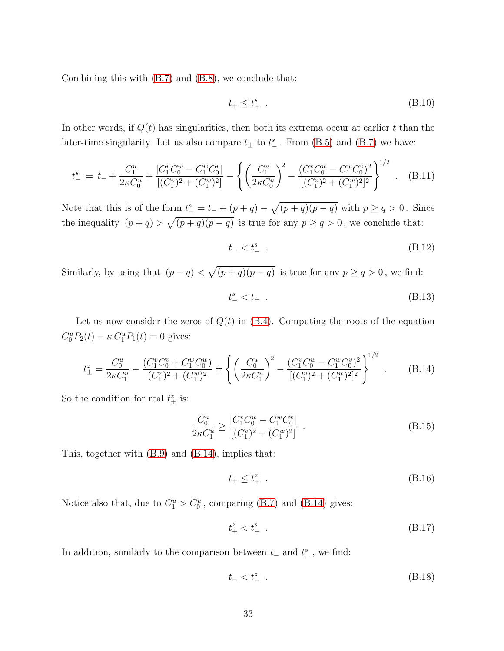Combining this with [\(B.7\)](#page-32-0) and [\(B.8\)](#page-32-3), we conclude that:

$$
t_+ \le t_+^s \tag{B.10}
$$

In other words, if  $Q(t)$  has singularities, then both its extrema occur at earlier t than the later-time singularity. Let us also compare  $t_{\pm}$  to  $t_{-}^{s}$ . From [\(B.5\)](#page-32-2) and [\(B.7\)](#page-32-0) we have:

$$
t_{-}^{s} = t_{-} + \frac{C_{1}^{u}}{2\kappa C_{0}^{u}} + \frac{|C_{1}^{v}C_{0}^{w} - C_{1}^{w}C_{0}^{v}|}{[(C_{1}^{v})^{2} + (C_{1}^{w})^{2}]} - \left\{ \left(\frac{C_{1}^{u}}{2\kappa C_{0}^{u}}\right)^{2} - \frac{(C_{1}^{v}C_{0}^{w} - C_{1}^{w}C_{0}^{v})^{2}}{[(C_{1}^{v})^{2} + (C_{1}^{w})^{2}]^{2}} \right\}^{1/2}.
$$
 (B.11)

Note that this is of the form  $t_{-}^{s} = t_{-} + (p+q) - \sqrt{(p+q)(p-q)}$  with  $p \ge q > 0$ . Since the inequality  $(p+q) > \sqrt{(p+q)(p-q)}$  is true for any  $p \ge q > 0$ , we conclude that:

$$
t_{-} < t_{-}^{s} \tag{B.12}
$$

Similarly, by using that  $(p - q) < \sqrt{(p + q)(p - q)}$  is true for any  $p \ge q > 0$ , we find:

<span id="page-33-1"></span>
$$
t_{-}^{s} < t_{+} \tag{B.13}
$$

Let us now consider the zeros of  $Q(t)$  in  $(B.4)$ . Computing the roots of the equation  $C_0^u P_2(t) - \kappa C_1^u P_1(t) = 0$  gives:

<span id="page-33-0"></span>
$$
t_{\pm}^{z} = \frac{C_{0}^{u}}{2\kappa C_{1}^{u}} - \frac{(C_{1}^{v}C_{0}^{v} + C_{1}^{w}C_{0}^{w})}{(C_{1}^{v})^{2} + (C_{1}^{w})^{2}} \pm \left\{ \left(\frac{C_{0}^{u}}{2\kappa C_{1}^{u}}\right)^{2} - \frac{(C_{1}^{v}C_{0}^{w} - C_{1}^{w}C_{0}^{v})^{2}}{[(C_{1}^{v})^{2} + (C_{1}^{w})^{2}]^{2}} \right\}^{1/2} . \tag{B.14}
$$

So the condition for real  $t^z_{\pm}$  is:

<span id="page-33-4"></span>
$$
\frac{C_0^u}{2\kappa C_1^u} \ge \frac{|C_1^v C_0^w - C_1^w C_0^v|}{[(C_1^v)^2 + (C_1^w)^2]}.
$$
\n(B.15)

This, together with [\(B.9\)](#page-32-4) and [\(B.14\)](#page-33-0), implies that:

<span id="page-33-2"></span>
$$
t_+ \le t_+^z \tag{B.16}
$$

Notice also that, due to  $C_1^u > C_0^u$ , comparing [\(B.7\)](#page-32-0) and [\(B.14\)](#page-33-0) gives:

$$
t_{+}^{z} < t_{+}^{s} \t\t(B.17)
$$

In addition, similarly to the comparison between  $t_-\,$  and  $t^s_-\,$ , we find:

<span id="page-33-3"></span>
$$
t_{-} < t_{-}^{z} \tag{B.18}
$$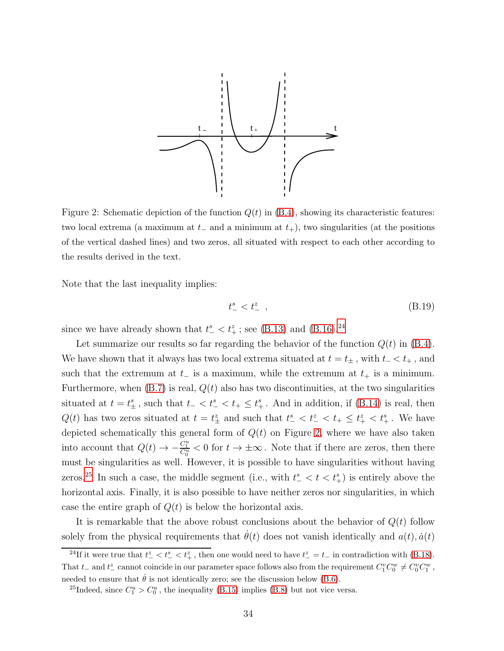

<span id="page-34-1"></span>Figure 2: Schematic depiction of the function  $Q(t)$  in  $(B.4)$ , showing its characteristic features: two local extrema (a maximum at  $t_-\$  and a minimum at  $t_+$ ), two singularities (at the positions of the vertical dashed lines) and two zeros, all situated with respect to each other according to the results derived in the text.

Note that the last inequality implies:

$$
t_{-}^{s} < t_{-}^{z} \tag{B.19}
$$

since we have already shown that  $t_{-}^{s} < t_{+}^{z}$ ; see [\(B.13\)](#page-33-1) and [\(B.16\)](#page-33-2).<sup>[24](#page-34-0)</sup>

Let summarize our results so far regarding the behavior of the function  $Q(t)$  in  $(B.4)$ . We have shown that it always has two local extrema situated at  $t = t_{\pm}$ , with  $t_{-} < t_{+}$ , and such that the extremum at  $t_-\$  is a maximum, while the extremum at  $t_+$  is a minimum. Furthermore, when  $(B.7)$  is real,  $Q(t)$  also has two discontinuities, at the two singularities situated at  $t = t_{\pm}^s$ , such that  $t_{-} < t_{-}^s < t_{+} \leq t_{+}^s$ . And in addition, if [\(B.14\)](#page-33-0) is real, then  $Q(t)$  has two zeros situated at  $t = t_{\pm}^z$  and such that  $t_{-}^s < t_{-}^z < t_{+} \leq t_{+}^z < t_{+}^s$ . We have depicted schematically this general form of  $Q(t)$  on Figure [2,](#page-34-1) where we have also taken into account that  $Q(t) \to -\frac{C_1^u}{C_0^u} < 0$  for  $t \to \pm \infty$ . Note that if there are zeros, then there must be singularities as well. However, it is possible to have singularities without having zeros.<sup>[25](#page-34-2)</sup> In such a case, the middle segment (i.e., with  $t_{-}^{s} < t < t_{+}^{s}$ ) is entirely above the horizontal axis. Finally, it is also possible to have neither zeros nor singularities, in which case the entire graph of  $Q(t)$  is below the horizontal axis.

It is remarkable that the above robust conclusions about the behavior of  $Q(t)$  follow solely from the physical requirements that  $\theta(t)$  does not vanish identically and  $a(t)$ ,  $\dot{a}(t)$ 

<span id="page-34-0"></span><sup>&</sup>lt;sup>24</sup>If it were true that  $t_{-}^{z} < t_{-}^{z} < t_{+}^{z}$ , then one would need to have  $t_{-}^{z} = t_{-}$  in contradiction with [\(B.18\)](#page-33-3). That t<sub>-</sub> and t<sup>\*</sup><sub>c</sub> cannot coincide in our parameter space follows also from the requirement  $C_1^v C_0^w \neq C_0^v C_1^w$ , needed to ensure that  $\dot{\theta}$  is not identically zero; see the discussion below [\(B.6\)](#page-32-5).

<span id="page-34-2"></span><sup>&</sup>lt;sup>25</sup>Indeed, since  $C_1^u > C_0^u$ , the inequality [\(B.15\)](#page-33-4) implies [\(B.8\)](#page-32-3) but not vice versa.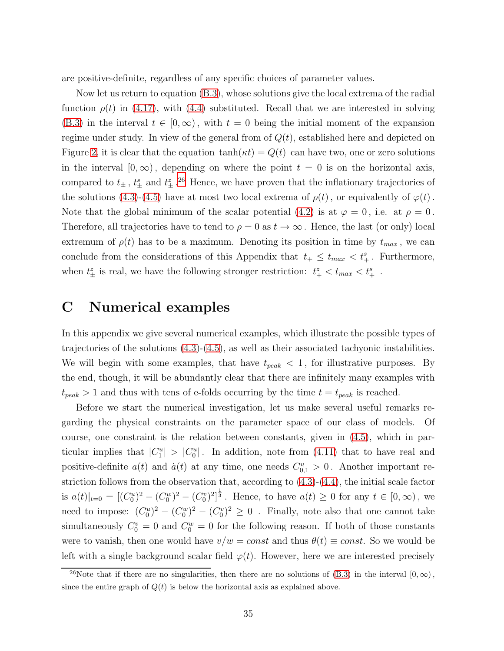are positive-definite, regardless of any specific choices of parameter values.

Now let us return to equation [\(B.3\)](#page-31-4), whose solutions give the local extrema of the radial function  $\rho(t)$  in [\(4.17\)](#page-14-3), with [\(4.4\)](#page-11-2) substituted. Recall that we are interested in solving [\(B.3\)](#page-31-4) in the interval  $t \in [0,\infty)$ , with  $t = 0$  being the initial moment of the expansion regime under study. In view of the general from of  $Q(t)$ , established here and depicted on Figure [2,](#page-34-1) it is clear that the equation  $\tanh(\kappa t) = Q(t)$  can have two, one or zero solutions in the interval  $[0, \infty)$ , depending on where the point  $t = 0$  is on the horizontal axis, compared to  $t_{\pm}$ ,  $t_{\pm}^{s}$  and  $t_{\pm}^{z}$ .<sup>[26](#page-35-1)</sup> Hence, we have proven that the inflationary trajectories of the solutions [\(4.3\)](#page-11-3)-[\(4.5\)](#page-11-4) have at most two local extrema of  $\rho(t)$ , or equivalently of  $\varphi(t)$ . Note that the global minimum of the scalar potential [\(4.2\)](#page-10-2) is at  $\varphi = 0$ , i.e. at  $\rho = 0$ . Therefore, all trajectories have to tend to  $\rho = 0$  as  $t \to \infty$ . Hence, the last (or only) local extremum of  $\rho(t)$  has to be a maximum. Denoting its position in time by  $t_{max}$ , we can conclude from the considerations of this Appendix that  $t_+ \leq t_{max} < t_+^s$ . Furthermore, when  $t_{\pm}^{z}$  is real, we have the following stronger restriction:  $t_{+}^{z} < t_{max} < t_{+}^{s}$ .

### <span id="page-35-0"></span>C Numerical examples

In this appendix we give several numerical examples, which illustrate the possible types of trajectories of the solutions [\(4.3\)](#page-11-3)-[\(4.5\)](#page-11-4), as well as their associated tachyonic instabilities. We will begin with some examples, that have  $t_{peak} < 1$ , for illustrative purposes. By the end, though, it will be abundantly clear that there are infinitely many examples with  $t_{peak} > 1$  and thus with tens of e-folds occurring by the time  $t = t_{peak}$  is reached.

Before we start the numerical investigation, let us make several useful remarks regarding the physical constraints on the parameter space of our class of models. Of course, one constraint is the relation between constants, given in [\(4.5\)](#page-11-4), which in particular implies that  $|C_1^u| > |C_0^u|$ . In addition, note from [\(4.11\)](#page-13-2) that to have real and positive-definite  $a(t)$  and  $\dot{a}(t)$  at any time, one needs  $C_{0,1}^u > 0$ . Another important restriction follows from the observation that, according to [\(4.3\)](#page-11-3)-[\(4.4\)](#page-11-2), the initial scale factor is  $a(t)|_{t=0} = [(C_0^u)^2 - (C_0^w)^2 - (C_0^v)^2]^{\frac{1}{3}}$ . Hence, to have  $a(t) \geq 0$  for any  $t \in [0, \infty)$ , we need to impose:  $(C_0^u)^2 - (C_0^v)^2 \ge 0$ . Finally, note also that one cannot take simultaneously  $C_0^v = 0$  and  $C_0^w = 0$  for the following reason. If both of those constants were to vanish, then one would have  $v/w = const$  and thus  $\theta(t) \equiv const$ . So we would be left with a single background scalar field  $\varphi(t)$ . However, here we are interested precisely

<span id="page-35-1"></span><sup>&</sup>lt;sup>26</sup>Note that if there are no singularities, then there are no solutions of [\(B.3\)](#page-31-4) in the interval  $[0, \infty)$ , since the entire graph of  $Q(t)$  is below the horizontal axis as explained above.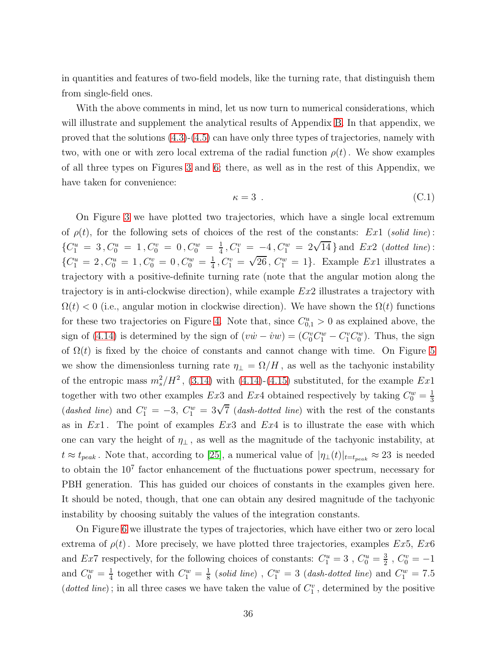in quantities and features of two-field models, like the turning rate, that distinguish them from single-field ones.

With the above comments in mind, let us now turn to numerical considerations, which will illustrate and supplement the analytical results of Appendix [B.](#page-31-0) In that appendix, we proved that the solutions [\(4.3\)](#page-11-3)-[\(4.5\)](#page-11-4) can have only three types of trajectories, namely with two, with one or with zero local extrema of the radial function  $\rho(t)$ . We show examples of all three types on Figures [3](#page-37-0) and [6;](#page-39-0) there, as well as in the rest of this Appendix, we have taken for convenience:

$$
\kappa = 3 \tag{C.1}
$$

On Figure [3](#page-37-0) we have plotted two trajectories, which have a single local extremum of  $\rho(t)$ , for the following sets of choices of the rest of the constants: Ex1 (solid line):  ${C_1^u = 3, C_0^u = 1, C_0^v = 0, C_0^w = \frac{1}{4}}$  $\frac{1}{4}$ ,  $C_1^v = -4$ ,  $C_1^w = 2\sqrt{14}$  and  $Ex2$  (dotted line):  ${C_1^u = 2, C_0^u = 1, C_0^v = 0, C_0^w = \frac{1}{4}}$  $\frac{1}{4}$ ,  $C_1^v = \sqrt{26}$ ,  $C_1^w = 1$ . Example *Ex*1 illustrates a trajectory with a positive-definite turning rate (note that the angular motion along the trajectory is in anti-clockwise direction), while example  $Ex2$  illustrates a trajectory with  $\Omega(t)$  < 0 (i.e., angular motion in clockwise direction). We have shown the  $\Omega(t)$  functions for these two trajectories on Figure [4.](#page-37-1) Note that, since  $C_{0,1}^u > 0$  as explained above, the sign of [\(4.14\)](#page-14-0) is determined by the sign of  $(v\dot{w} - \dot{v}w) = (C_0^v C_1^w - C_1^v C_0^w)$ . Thus, the sign of  $\Omega(t)$  is fixed by the choice of constants and cannot change with time. On Figure [5](#page-38-0) we show the dimensionless turning rate  $\eta_{\perp} = \Omega/H$ , as well as the tachyonic instability of the entropic mass  $m_s^2/H^2$ , [\(3.14\)](#page-10-5) with [\(4.14\)](#page-14-0)-[\(4.15\)](#page-14-1) substituted, for the example  $Ex1$ together with two other examples Ex3 and Ex4 obtained respectively by taking  $C_0^w = \frac{1}{3}$ 3 (dashed line) and  $C_1^v = -3$ ,  $C_1^w = 3\sqrt{7}$  (dash-dotted line) with the rest of the constants as in  $Ex1$ . The point of examples  $Ex3$  and  $Ex4$  is to illustrate the ease with which one can vary the height of  $\eta_{\perp}$ , as well as the magnitude of the tachyonic instability, at  $t \approx t_{peak}$ . Note that, according to [\[25\]](#page-44-1), a numerical value of  $|\eta_{\perp}(t)|_{t=t_{peak}} \approx 23$  is needed to obtain the  $10<sup>7</sup>$  factor enhancement of the fluctuations power spectrum, necessary for PBH generation. This has guided our choices of constants in the examples given here. It should be noted, though, that one can obtain any desired magnitude of the tachyonic instability by choosing suitably the values of the integration constants.

On Figure [6](#page-39-0) we illustrate the types of trajectories, which have either two or zero local extrema of  $\rho(t)$ . More precisely, we have plotted three trajectories, examples Ex5, Ex6 and Ex7 respectively, for the following choices of constants:  $C_1^u = 3$ ,  $C_0^u = \frac{3}{2}$  $\frac{3}{2}$ ,  $C_0^v = -1$ and  $C_0^w = \frac{1}{4}$  $rac{1}{4}$  together with  $C_1^w = \frac{1}{8}$  $\frac{1}{8}$  (solid line) ,  $C^w_1 = 3$  (dash-dotted line) and  $C^w_1 = 7.5$ (dotted line); in all three cases we have taken the value of  $C_1^v$ , determined by the positive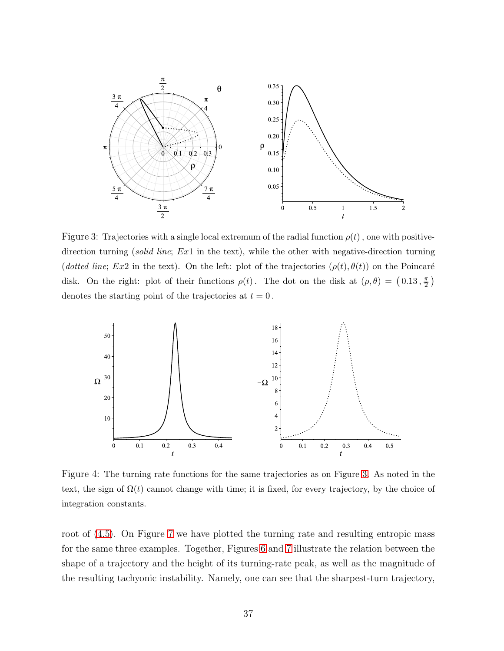

<span id="page-37-0"></span>Figure 3: Trajectories with a single local extremum of the radial function  $\rho(t)$ , one with positivedirection turning (*solid line*; Ex1 in the text), while the other with negative-direction turning (dotted line; Ex2 in the text). On the left: plot of the trajectories  $(\rho(t), \theta(t))$  on the Poincaré disk. On the right: plot of their functions  $\rho(t)$ . The dot on the disk at  $(\rho, \theta) = (0.13, \frac{\pi}{2})$  $\frac{\pi}{2}$ ) denotes the starting point of the trajectories at  $t = 0$ .



<span id="page-37-1"></span>Figure 4: The turning rate functions for the same trajectories as on Figure [3.](#page-37-0) As noted in the text, the sign of  $\Omega(t)$  cannot change with time; it is fixed, for every trajectory, by the choice of integration constants.

root of  $(4.5)$ . On Figure [7](#page-39-1) we have plotted the turning rate and resulting entropic mass for the same three examples. Together, Figures [6](#page-39-0) and [7](#page-39-1) illustrate the relation between the shape of a trajectory and the height of its turning-rate peak, as well as the magnitude of the resulting tachyonic instability. Namely, one can see that the sharpest-turn trajectory,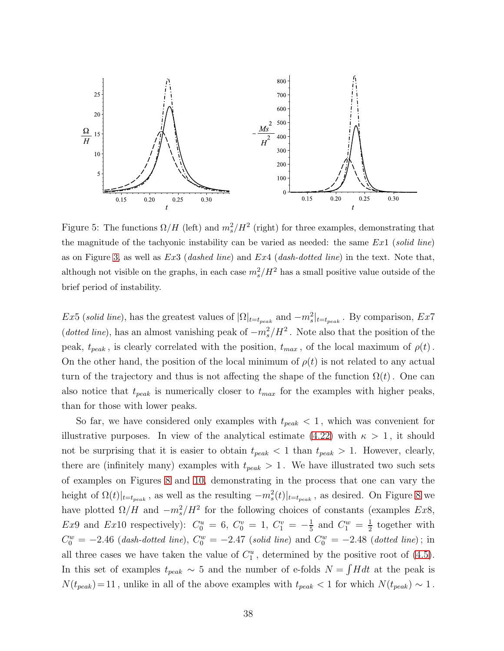

<span id="page-38-0"></span>Figure 5: The functions  $\Omega/H$  (left) and  $m_s^2/H^2$  (right) for three examples, demonstrating that the magnitude of the tachyonic instability can be varied as needed: the same  $Ex1$  (solid line) as on Figure [3,](#page-37-0) as well as  $Ex3$  (dashed line) and  $Ex4$  (dash-dotted line) in the text. Note that, although not visible on the graphs, in each case  $m_s^2/H^2$  has a small positive value outside of the brief period of instability.

Ex5 (solid line), has the greatest values of  $|\Omega|_{t=t_{peak}}$  and  $-m_s^2|_{t=t_{peak}}$ . By comparison, Ex7 (dotted line), has an almost vanishing peak of  $-m_s^2/H^2$ . Note also that the position of the peak,  $t_{peak}$ , is clearly correlated with the position,  $t_{max}$ , of the local maximum of  $\rho(t)$ . On the other hand, the position of the local minimum of  $\rho(t)$  is not related to any actual turn of the trajectory and thus is not affecting the shape of the function  $\Omega(t)$ . One can also notice that  $t_{peak}$  is numerically closer to  $t_{max}$  for the examples with higher peaks, than for those with lower peaks.

So far, we have considered only examples with  $t_{peak} < 1$ , which was convenient for illustrative purposes. In view of the analytical estimate [\(4.22\)](#page-16-6) with  $\kappa > 1$ , it should not be surprising that it is easier to obtain  $t_{peak} < 1$  than  $t_{peak} > 1$ . However, clearly, there are (infinitely many) examples with  $t_{peak} > 1$ . We have illustrated two such sets of examples on Figures [8](#page-40-0) and [10,](#page-41-0) demonstrating in the process that one can vary the height of  $\Omega(t)|_{t=t_{peak}}$ , as well as the resulting  $-m_s^2(t)|_{t=t_{peak}}$ , as desired. On Figure [8](#page-40-0) we have plotted  $\Omega/H$  and  $-m_s^2/H^2$  for the following choices of constants (examples Ex8, Ex9 and Ex10 respectively):  $C_0^u = 6, C_0^v = 1, C_1^v = -\frac{1}{5}$  $\frac{1}{5}$  and  $C_1^w = \frac{1}{2}$  $\frac{1}{2}$  together with  $C_0^w = -2.46$  (dash-dotted line),  $C_0^w = -2.47$  (solid line) and  $C_0^w = -2.48$  (dotted line); in all three cases we have taken the value of  $C_1^u$ , determined by the positive root of [\(4.5\)](#page-11-4). In this set of examples  $t_{peak} \sim 5$  and the number of e-folds  $N = \int H dt$  at the peak is  $N(t_{peak}) = 11$ , unlike in all of the above examples with  $t_{peak} < 1$  for which  $N(t_{peak}) \sim 1$ .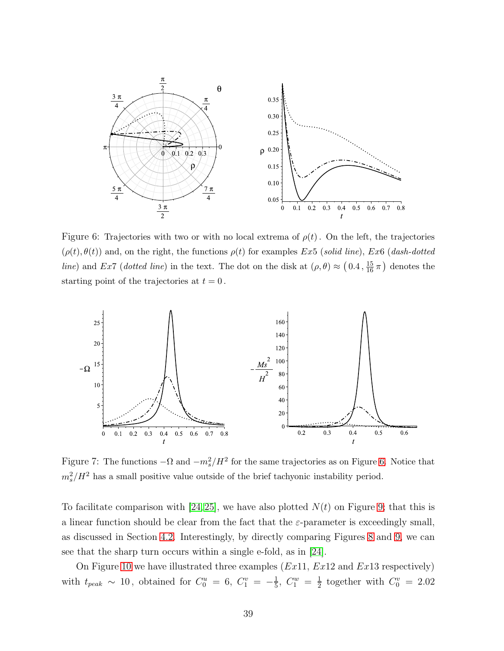

<span id="page-39-0"></span>Figure 6: Trajectories with two or with no local extrema of  $\rho(t)$ . On the left, the trajectories  $(\rho(t), \theta(t))$  and, on the right, the functions  $\rho(t)$  for examples Ex5 (solid line), Ex6 (dash-dotted line) and Ex7 (dotted line) in the text. The dot on the disk at  $(\rho, \theta) \approx (0.4, \frac{15}{16}\pi)$  denotes the starting point of the trajectories at  $t = 0$ .



<span id="page-39-1"></span>Figure 7: The functions  $-\Omega$  and  $-m_s^2/H^2$  for the same trajectories as on Figure [6.](#page-39-0) Notice that  $m_s^2/H^2$  has a small positive value outside of the brief tachyonic instability period.

To facilitate comparison with [\[24,](#page-44-0)[25\]](#page-44-1), we have also plotted  $N(t)$  on Figure [9;](#page-40-1) that this is a linear function should be clear from the fact that the  $\varepsilon$ -parameter is exceedingly small, as discussed in Section [4.2.](#page-13-0) Interestingly, by directly comparing Figures [8](#page-40-0) and [9,](#page-40-1) we can see that the sharp turn occurs within a single e-fold, as in [\[24\]](#page-44-0).

On Figure [10](#page-41-0) we have illustrated three examples  $(Ex11, Ex12 \text{ and } Ex13 \text{ respectively})$ with  $t_{peak} \sim 10$ , obtained for  $C_0^u = 6$ ,  $C_1^v = -\frac{1}{5}$  $\frac{1}{5}$ ,  $C_1^w = \frac{1}{2}$  $\frac{1}{2}$  together with  $C_0^v = 2.02$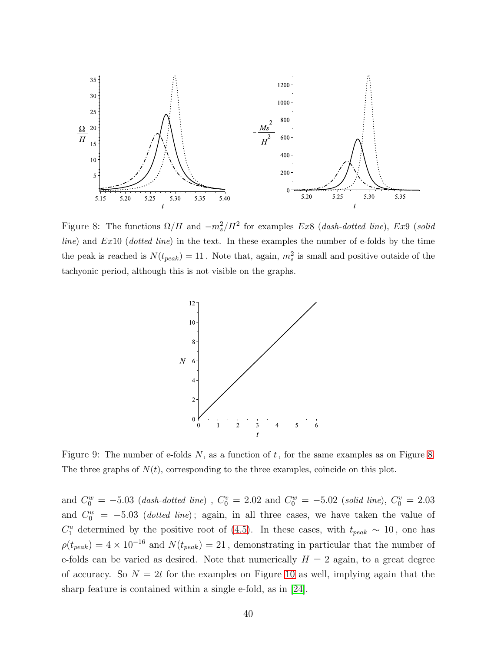

<span id="page-40-0"></span>Figure 8: The functions  $\Omega/H$  and  $-m_s^2/H^2$  for examples Ex8 (dash-dotted line), Ex9 (solid  $line)$  and  $Ex10$  (dotted line) in the text. In these examples the number of e-folds by the time the peak is reached is  $N(t_{peak}) = 11$ . Note that, again,  $m_s^2$  is small and positive outside of the tachyonic period, although this is not visible on the graphs.



<span id="page-40-1"></span>Figure 9: The number of e-folds  $N$ , as a function of  $t$ , for the same examples as on Figure [8.](#page-40-0) The three graphs of  $N(t)$ , corresponding to the three examples, coincide on this plot.

and  $C_0^w = -5.03$  (dash-dotted line),  $C_0^v = 2.02$  and  $C_0^w = -5.02$  (solid line),  $C_0^v = 2.03$ and  $C_0^w = -5.03$  (*dotted line*); again, in all three cases, we have taken the value of  $C_1^u$  determined by the positive root of [\(4.5\)](#page-11-4). In these cases, with  $t_{peak} \sim 10$ , one has  $\rho(t_{peak}) = 4 \times 10^{-16}$  and  $N(t_{peak}) = 21$ , demonstrating in particular that the number of e-folds can be varied as desired. Note that numerically  $H = 2$  again, to a great degree of accuracy. So  $N = 2t$  for the examples on Figure [10](#page-41-0) as well, implying again that the sharp feature is contained within a single e-fold, as in [\[24\]](#page-44-0).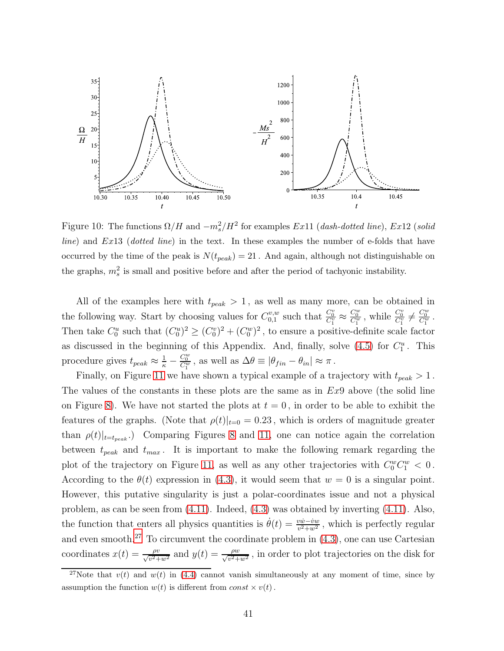

<span id="page-41-0"></span>Figure 10: The functions  $\Omega/H$  and  $-m_s^2/H^2$  for examples Ex11 (dash-dotted line), Ex12 (solid  $line)$  and  $Ex13$  (dotted line) in the text. In these examples the number of e-folds that have occurred by the time of the peak is  $N(t_{peak}) = 21$ . And again, although not distinguishable on the graphs,  $m_s^2$  is small and positive before and after the period of tachyonic instability.

All of the examples here with  $t_{peak} > 1$ , as well as many more, can be obtained in the following way. Start by choosing values for  $C_{0,1}^{v,w}$  $_{0,1}^{\omega,w}$  such that  $\frac{C_0^v}{C_1^v} \approx$  $\frac{C_0^w}{C_1^w}$ , while  $\frac{C_0^v}{C_1^v} \neq \frac{C_0^w}{C_1^w}$ . Then take  $C_0^u$  such that  $(C_0^u)^2 \ge (C_0^v)^2 + (C_0^w)^2$ , to ensure a positive-definite scale factor as discussed in the beginning of this Appendix. And, finally, solve  $(4.5)$  for  $C_1^u$ . This procedure gives  $t_{peak} \approx \frac{1}{\kappa}$  –  $\frac{C_0^w}{C_1^w}$ , as well as  $\Delta \theta \equiv |\theta_{fin} - \theta_{in}| \approx \pi$ .

Finally, on Figure [11](#page-42-6) we have shown a typical example of a trajectory with  $t_{peak} > 1$ . The values of the constants in these plots are the same as in  $Ex9$  above (the solid line on Figure [8\)](#page-40-0). We have not started the plots at  $t = 0$ , in order to be able to exhibit the features of the graphs. (Note that  $\rho(t)|_{t=0} = 0.23$ , which is orders of magnitude greater than  $\rho(t)|_{t=t_{peak}}$ .) Comparing Figures [8](#page-40-0) and [11,](#page-42-6) one can notice again the correlation between  $t_{peak}$  and  $t_{max}$ . It is important to make the following remark regarding the plot of the trajectory on Figure [11,](#page-42-6) as well as any other trajectories with  $C_0^w C_1^w < 0$ . According to the  $\theta(t)$  expression in [\(4.3\)](#page-11-3), it would seem that  $w = 0$  is a singular point. However, this putative singularity is just a polar-coordinates issue and not a physical problem, as can be seen from [\(4.11\)](#page-13-2). Indeed, [\(4.3\)](#page-11-3) was obtained by inverting [\(4.11\)](#page-13-2). Also, the function that enters all physics quantities is  $\dot{\theta}(t) = \frac{v\dot{w}-\dot{v}w}{v^2+w^2}$ , which is perfectly regular and even smooth.<sup>[27](#page-41-1)</sup> To circumvent the coordinate problem in  $(4.3)$ , one can use Cartesian coordinates  $x(t) = \frac{\rho v}{\sqrt{v^2 + w^2}}$  and  $y(t) = \frac{\rho w}{\sqrt{v^2 + w^2}}$ , in order to plot trajectories on the disk for

<span id="page-41-1"></span><sup>&</sup>lt;sup>27</sup>Note that  $v(t)$  and  $w(t)$  in [\(4.4\)](#page-11-2) cannot vanish simultaneously at any moment of time, since by assumption the function  $w(t)$  is different from  $const \times v(t)$ .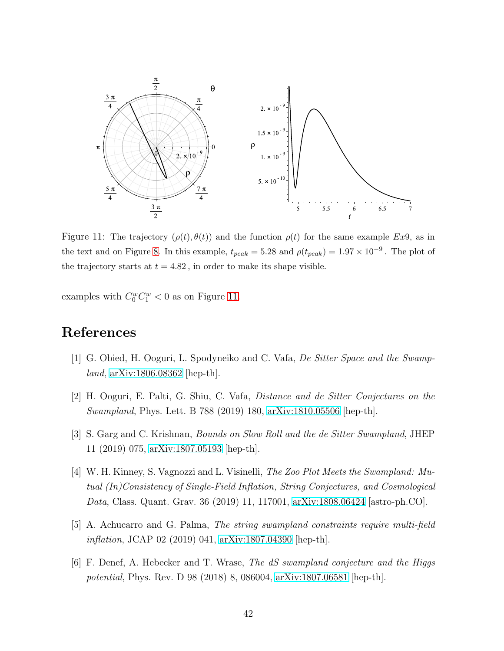

<span id="page-42-6"></span>Figure 11: The trajectory  $(\rho(t), \theta(t))$  and the function  $\rho(t)$  for the same example Ex9, as in the text and on Figure [8.](#page-40-0) In this example,  $t_{peak} = 5.28$  and  $\rho(t_{peak}) = 1.97 \times 10^{-9}$ . The plot of the trajectory starts at  $t = 4.82$ , in order to make its shape visible.

examples with  $C_0^w C_1^w < 0$  as on Figure [11.](#page-42-6)

# <span id="page-42-0"></span>References

- <span id="page-42-1"></span>[1] G. Obied, H. Ooguri, L. Spodyneiko and C. Vafa, De Sitter Space and the Swampland, [arXiv:1806.08362](http://arxiv.org/abs/1806.08362) [hep-th].
- <span id="page-42-2"></span>[2] H. Ooguri, E. Palti, G. Shiu, C. Vafa, Distance and de Sitter Conjectures on the Swampland, Phys. Lett. B 788 (2019) 180, [arXiv:1810.05506](http://arxiv.org/abs/1810.05506) [hep-th].
- <span id="page-42-3"></span>[3] S. Garg and C. Krishnan, Bounds on Slow Roll and the de Sitter Swampland, JHEP 11 (2019) 075, [arXiv:1807.05193](http://arxiv.org/abs/1807.05193) [hep-th].
- [4] W. H. Kinney, S. Vagnozzi and L. Visinelli, The Zoo Plot Meets the Swampland: Mutual (In)Consistency of Single-Field Inflation, String Conjectures, and Cosmological Data, Class. Quant. Grav. 36 (2019) 11, 117001, [arXiv:1808.06424](http://arxiv.org/abs/1808.06424) [astro-ph.CO].
- <span id="page-42-5"></span><span id="page-42-4"></span>[5] A. Achucarro and G. Palma, The string swampland constraints require multi-field inflation, JCAP 02 (2019) 041, [arXiv:1807.04390](http://arxiv.org/abs/1807.04390) [hep-th].
- [6] F. Denef, A. Hebecker and T. Wrase, The dS swampland conjecture and the Higgs potential, Phys. Rev. D 98 (2018) 8, 086004, [arXiv:1807.06581](http://arxiv.org/abs/1807.06581) [hep-th].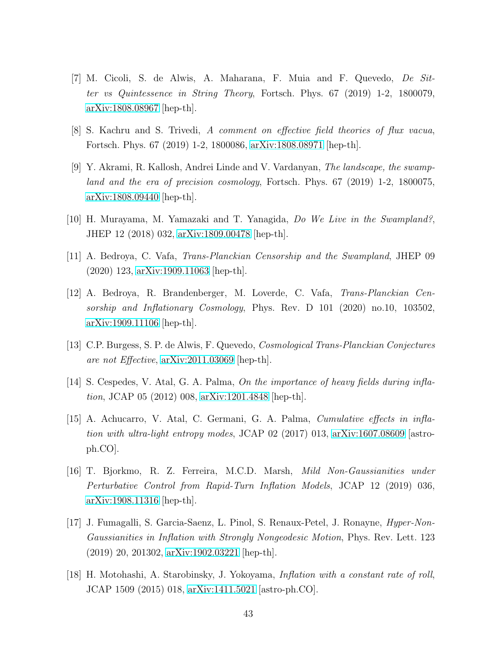- [7] M. Cicoli, S. de Alwis, A. Maharana, F. Muia and F. Quevedo, De Sitter vs Quintessence in String Theory, Fortsch. Phys. 67 (2019) 1-2, 1800079, [arXiv:1808.08967](http://arxiv.org/abs/1808.08967) [hep-th].
- [8] S. Kachru and S. Trivedi, A comment on effective field theories of flux vacua, Fortsch. Phys. 67 (2019) 1-2, 1800086, [arXiv:1808.08971](http://arxiv.org/abs/1808.08971) [hep-th].
- [9] Y. Akrami, R. Kallosh, Andrei Linde and V. Vardanyan, The landscape, the swampland and the era of precision cosmology, Fortsch. Phys. 67 (2019) 1-2, 1800075, [arXiv:1808.09440](http://arxiv.org/abs/1808.09440) [hep-th].
- <span id="page-43-3"></span><span id="page-43-2"></span>[10] H. Murayama, M. Yamazaki and T. Yanagida, Do We Live in the Swampland?, JHEP 12 (2018) 032, [arXiv:1809.00478](http://arxiv.org/abs/1809.00478) [hep-th].
- <span id="page-43-4"></span>[11] A. Bedroya, C. Vafa, Trans-Planckian Censorship and the Swampland, JHEP 09 (2020) 123, [arXiv:1909.11063](http://arxiv.org/abs/1909.11063) [hep-th].
- [12] A. Bedroya, R. Brandenberger, M. Loverde, C. Vafa, Trans-Planckian Censorship and Inflationary Cosmology, Phys. Rev. D 101 (2020) no.10, 103502, [arXiv:1909.11106](http://arxiv.org/abs/1909.11106) [hep-th].
- <span id="page-43-5"></span><span id="page-43-0"></span>[13] C.P. Burgess, S. P. de Alwis, F. Quevedo, Cosmological Trans-Planckian Conjectures are not Effective, [arXiv:2011.03069](http://arxiv.org/abs/2011.03069) [hep-th].
- <span id="page-43-7"></span>[14] S. Cespedes, V. Atal, G. A. Palma, On the importance of heavy fields during inflation, JCAP 05 (2012) 008, [arXiv:1201.4848](http://arxiv.org/abs/1201.4848) [hep-th].
- [15] A. Achucarro, V. Atal, C. Germani, G. A. Palma, Cumulative effects in inflation with ultra-light entropy modes, JCAP 02 (2017) 013, [arXiv:1607.08609](http://arxiv.org/abs/1607.08609) [astroph.CO].
- <span id="page-43-1"></span>[16] T. Bjorkmo, R. Z. Ferreira, M.C.D. Marsh, Mild Non-Gaussianities under Perturbative Control from Rapid-Turn Inflation Models, JCAP 12 (2019) 036, [arXiv:1908.11316](http://arxiv.org/abs/1908.11316) [hep-th].
- <span id="page-43-8"></span>[17] J. Fumagalli, S. Garcia-Saenz, L. Pinol, S. Renaux-Petel, J. Ronayne, Hyper-Non-Gaussianities in Inflation with Strongly Nongeodesic Motion, Phys. Rev. Lett. 123 (2019) 20, 201302, [arXiv:1902.03221](http://arxiv.org/abs/1902.03221) [hep-th].
- <span id="page-43-6"></span>[18] H. Motohashi, A. Starobinsky, J. Yokoyama, Inflation with a constant rate of roll, JCAP 1509 (2015) 018, [arXiv:1411.5021](http://arxiv.org/abs/1411.5021) [astro-ph.CO].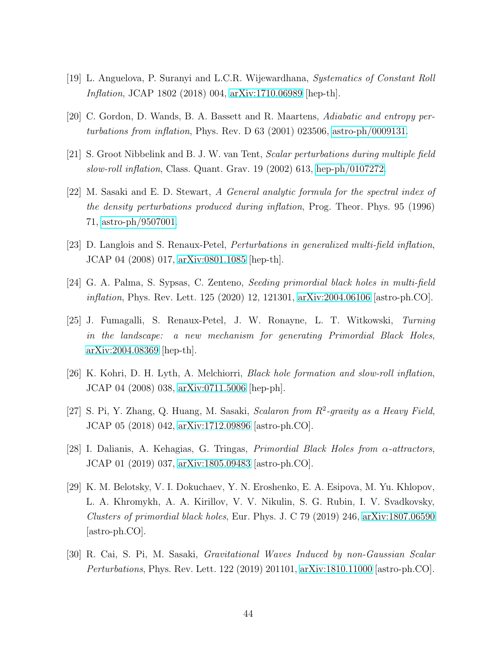- <span id="page-44-4"></span><span id="page-44-2"></span>[19] L. Anguelova, P. Suranyi and L.C.R. Wijewardhana, Systematics of Constant Roll Inflation, JCAP 1802 (2018) 004, [arXiv:1710.06989](http://arxiv.org/abs/1710.06989) [hep-th].
- [20] C. Gordon, D. Wands, B. A. Bassett and R. Maartens, Adiabatic and entropy perturbations from inflation, Phys. Rev. D 63 (2001) 023506, [astro-ph/0009131.](http://arxiv.org/abs/astro-ph/0009131)
- [21] S. Groot Nibbelink and B. J. W. van Tent, Scalar perturbations during multiple field slow-roll inflation, Class. Quant. Grav. 19 (2002) 613, [hep-ph/0107272.](http://arxiv.org/abs/hep-ph/0107272)
- [22] M. Sasaki and E. D. Stewart, A General analytic formula for the spectral index of the density perturbations produced during inflation, Prog. Theor. Phys. 95 (1996) 71, [astro-ph/9507001.](http://arxiv.org/abs/astro-ph/9507001)
- <span id="page-44-5"></span><span id="page-44-0"></span>[23] D. Langlois and S. Renaux-Petel, Perturbations in generalized multi-field inflation, JCAP 04 (2008) 017, [arXiv:0801.1085](http://arxiv.org/abs/0801.1085) [hep-th].
- <span id="page-44-1"></span>[24] G. A. Palma, S. Sypsas, C. Zenteno, Seeding primordial black holes in multi-field inflation, Phys. Rev. Lett. 125 (2020) 12, 121301, [arXiv:2004.06106](http://arxiv.org/abs/2004.06106) [astro-ph.CO].
- [25] J. Fumagalli, S. Renaux-Petel, J. W. Ronayne, L. T. Witkowski, Turning in the landscape: a new mechanism for generating Primordial Black Holes, [arXiv:2004.08369](http://arxiv.org/abs/2004.08369) [hep-th].
- <span id="page-44-3"></span>[26] K. Kohri, D. H. Lyth, A. Melchiorri, Black hole formation and slow-roll inflation, JCAP 04 (2008) 038, [arXiv:0711.5006](http://arxiv.org/abs/0711.5006) [hep-ph].
- [27] S. Pi, Y. Zhang, Q. Huang, M. Sasaki, Scalaron from  $R^2$ -gravity as a Heavy Field, JCAP 05 (2018) 042, [arXiv:1712.09896](http://arxiv.org/abs/1712.09896) [astro-ph.CO].
- [28] I. Dalianis, A. Kehagias, G. Tringas, *Primordial Black Holes from*  $\alpha$ *-attractors*, JCAP 01 (2019) 037, [arXiv:1805.09483](http://arxiv.org/abs/1805.09483) [astro-ph.CO].
- [29] K. M. Belotsky, V. I. Dokuchaev, Y. N. Eroshenko, E. A. Esipova, M. Yu. Khlopov, L. A. Khromykh, A. A. Kirillov, V. V. Nikulin, S. G. Rubin, I. V. Svadkovsky, Clusters of primordial black holes, Eur. Phys. J. C 79 (2019) 246, [arXiv:1807.06590](http://arxiv.org/abs/1807.06590) [astro-ph.CO].
- [30] R. Cai, S. Pi, M. Sasaki, Gravitational Waves Induced by non-Gaussian Scalar Perturbations, Phys. Rev. Lett. 122 (2019) 201101, [arXiv:1810.11000](http://arxiv.org/abs/1810.11000) [astro-ph.CO].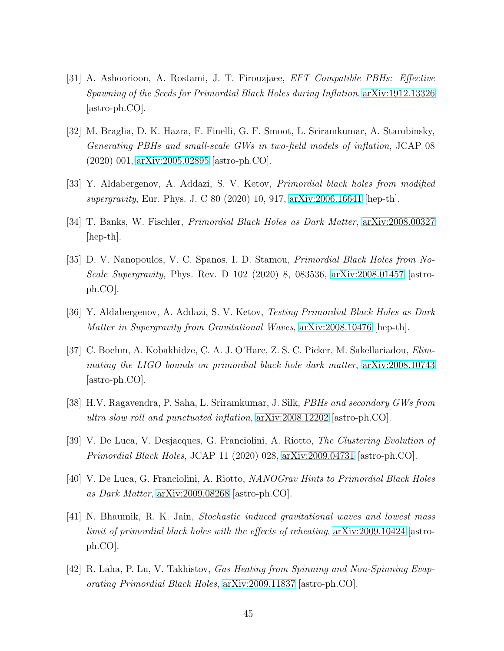- [31] A. Ashoorioon, A. Rostami, J. T. Firouzjaee, EFT Compatible PBHs: Effective Spawning of the Seeds for Primordial Black Holes during Inflation, [arXiv:1912.13326](http://arxiv.org/abs/1912.13326) [astro-ph.CO].
- <span id="page-45-0"></span>[32] M. Braglia, D. K. Hazra, F. Finelli, G. F. Smoot, L. Sriramkumar, A. Starobinsky, Generating PBHs and small-scale GWs in two-field models of inflation, JCAP 08 (2020) 001, [arXiv:2005.02895](http://arxiv.org/abs/2005.02895) [astro-ph.CO].
- [33] Y. Aldabergenov, A. Addazi, S. V. Ketov, Primordial black holes from modified supergravity, Eur. Phys. J. C 80 (2020) 10, 917, [arXiv:2006.16641](http://arxiv.org/abs/2006.16641) [hep-th].
- [34] T. Banks, W. Fischler, Primordial Black Holes as Dark Matter, [arXiv:2008.00327](http://arxiv.org/abs/2008.00327)  $\vert \text{hep-th} \vert$ .
- [35] D. V. Nanopoulos, V. C. Spanos, I. D. Stamou, Primordial Black Holes from No-Scale Supergravity, Phys. Rev. D 102 (2020) 8, 083536, [arXiv:2008.01457](http://arxiv.org/abs/2008.01457) [astroph.CO].
- [36] Y. Aldabergenov, A. Addazi, S. V. Ketov, Testing Primordial Black Holes as Dark Matter in Supergravity from Gravitational Waves, [arXiv:2008.10476](http://arxiv.org/abs/2008.10476) [hep-th].
- [37] C. Boehm, A. Kobakhidze, C. A. J. O'Hare, Z. S. C. Picker, M. Sakellariadou, Eliminating the LIGO bounds on primordial black hole dark matter, [arXiv:2008.10743](http://arxiv.org/abs/2008.10743) [astro-ph.CO].
- [38] H.V. Ragavendra, P. Saha, L. Sriramkumar, J. Silk, PBHs and secondary GWs from ultra slow roll and punctuated inflation, [arXiv:2008.12202](http://arxiv.org/abs/2008.12202) [astro-ph.CO].
- [39] V. De Luca, V. Desjacques, G. Franciolini, A. Riotto, The Clustering Evolution of Primordial Black Holes, JCAP 11 (2020) 028, [arXiv:2009.04731](http://arxiv.org/abs/2009.04731) [astro-ph.CO].
- [40] V. De Luca, G. Franciolini, A. Riotto, NANOGrav Hints to Primordial Black Holes as Dark Matter, [arXiv:2009.08268](http://arxiv.org/abs/2009.08268) [astro-ph.CO].
- [41] N. Bhaumik, R. K. Jain, Stochastic induced gravitational waves and lowest mass limit of primordial black holes with the effects of reheating, [arXiv:2009.10424](http://arxiv.org/abs/2009.10424) [astroph.CO].
- [42] R. Laha, P. Lu, V. Takhistov, Gas Heating from Spinning and Non-Spinning Evaporating Primordial Black Holes, [arXiv:2009.11837](http://arxiv.org/abs/2009.11837) [astro-ph.CO].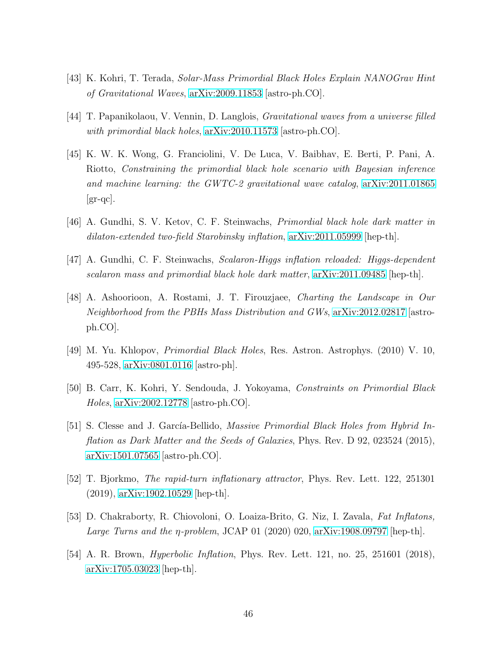- [43] K. Kohri, T. Terada, Solar-Mass Primordial Black Holes Explain NANOGrav Hint of Gravitational Waves, [arXiv:2009.11853](http://arxiv.org/abs/2009.11853) [astro-ph.CO].
- [44] T. Papanikolaou, V. Vennin, D. Langlois, Gravitational waves from a universe filled with primordial black holes,  $\alpha$ Xiv:2010.11573 [astro-ph.CO].
- [45] K. W. K. Wong, G. Franciolini, V. De Luca, V. Baibhav, E. Berti, P. Pani, A. Riotto, Constraining the primordial black hole scenario with Bayesian inference and machine learning: the GWTC-2 gravitational wave catalog,  $arXiv:2011.01865$  $\left[\text{gr-qc}\right]$ .
- [46] A. Gundhi, S. V. Ketov, C. F. Steinwachs, Primordial black hole dark matter in dilaton-extended two-field Starobinsky inflation, [arXiv:2011.05999](http://arxiv.org/abs/2011.05999) [hep-th].
- <span id="page-46-3"></span>[47] A. Gundhi, C. F. Steinwachs, Scalaron-Higgs inflation reloaded: Higgs-dependent scalaron mass and primordial black hole dark matter, [arXiv:2011.09485](http://arxiv.org/abs/2011.09485) [hep-th].
- [48] A. Ashoorioon, A. Rostami, J. T. Firouzjaee, Charting the Landscape in Our Neighborhood from the PBHs Mass Distribution and GWs, [arXiv:2012.02817](http://arxiv.org/abs/2012.02817) [astroph.CO].
- <span id="page-46-5"></span><span id="page-46-4"></span>[49] M. Yu. Khlopov, Primordial Black Holes, Res. Astron. Astrophys. (2010) V. 10, 495-528, [arXiv:0801.0116](http://arxiv.org/abs/0801.0116) [astro-ph].
- <span id="page-46-0"></span>[50] B. Carr, K. Kohri, Y. Sendouda, J. Yokoyama, Constraints on Primordial Black Holes, [arXiv:2002.12778](http://arxiv.org/abs/2002.12778) [astro-ph.CO].
- [51] S. Clesse and J. García-Bellido, *Massive Primordial Black Holes from Hybrid In*flation as Dark Matter and the Seeds of Galaxies, Phys. Rev. D 92, 023524 (2015), [arXiv:1501.07565](http://arxiv.org/abs/1501.07565) [astro-ph.CO].
- <span id="page-46-2"></span><span id="page-46-1"></span>[52] T. Bjorkmo, The rapid-turn inflationary attractor, Phys. Rev. Lett. 122, 251301 (2019), [arXiv:1902.10529](http://arxiv.org/abs/1902.10529) [hep-th].
- <span id="page-46-6"></span>[53] D. Chakraborty, R. Chiovoloni, O. Loaiza-Brito, G. Niz, I. Zavala, Fat Inflatons, Large Turns and the  $\eta$ -problem, JCAP 01 (2020) 020, [arXiv:1908.09797](http://arxiv.org/abs/1908.09797) [hep-th].
- [54] A. R. Brown, *Hyperbolic Inflation*, Phys. Rev. Lett. 121, no. 25, 251601 (2018), [arXiv:1705.03023](http://arxiv.org/abs/1705.03023) [hep-th].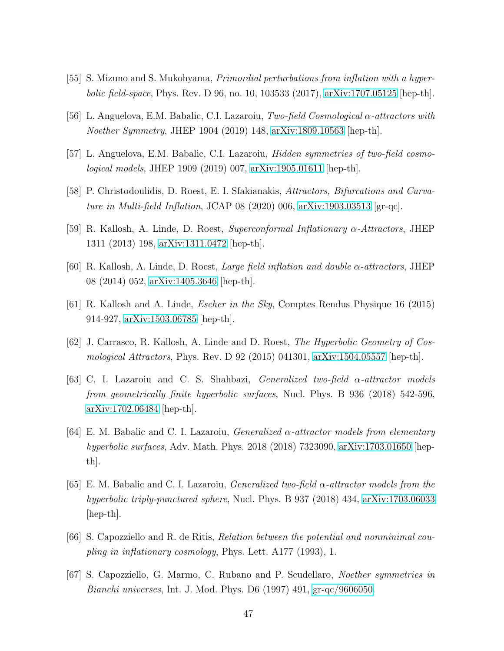- <span id="page-47-4"></span>[55] S. Mizuno and S. Mukohyama, Primordial perturbations from inflation with a hyperbolic field-space, Phys. Rev. D 96, no. 10, 103533 (2017), [arXiv:1707.05125](http://arxiv.org/abs/1707.05125) [hep-th].
- <span id="page-47-6"></span>[56] L. Anguelova, E.M. Babalic, C.I. Lazaroiu, Two-field Cosmological  $\alpha$ -attractors with Noether Symmetry, JHEP 1904 (2019) 148, [arXiv:1809.10563](http://arxiv.org/abs/1809.10563) [hep-th].
- <span id="page-47-7"></span>[57] L. Anguelova, E.M. Babalic, C.I. Lazaroiu, Hidden symmetries of two-field cosmological models, JHEP 1909 (2019) 007, [arXiv:1905.01611](http://arxiv.org/abs/1905.01611) [hep-th].
- <span id="page-47-0"></span>[58] P. Christodoulidis, D. Roest, E. I. Sfakianakis, Attractors, Bifurcations and Curvature in Multi-field Inflation, JCAP 08 (2020) 006,  $\arXiv:1903.03513$  [gr-qc].
- [59] R. Kallosh, A. Linde, D. Roest, Superconformal Inflationary  $\alpha$ -Attractors, JHEP 1311 (2013) 198, [arXiv:1311.0472](http://arxiv.org/abs/1311.0472) [hep-th].
- [60] R. Kallosh, A. Linde, D. Roest, Large field inflation and double α-attractors, JHEP 08 (2014) 052, [arXiv:1405.3646](http://arxiv.org/abs/1405.3646) [hep-th].
- <span id="page-47-1"></span>[61] R. Kallosh and A. Linde, Escher in the Sky, Comptes Rendus Physique 16 (2015) 914-927, [arXiv:1503.06785](http://arxiv.org/abs/1503.06785) [hep-th].
- <span id="page-47-2"></span>[62] J. Carrasco, R. Kallosh, A. Linde and D. Roest, The Hyperbolic Geometry of Cosmological Attractors, Phys. Rev. D 92 (2015) 041301, [arXiv:1504.05557](http://arxiv.org/abs/1504.05557) [hep-th].
- [63] C. I. Lazaroiu and C. S. Shahbazi, Generalized two-field α-attractor models from geometrically finite hyperbolic surfaces, Nucl. Phys. B 936 (2018) 542-596, [arXiv:1702.06484](http://arxiv.org/abs/1702.06484) [hep-th].
- [64] E. M. Babalic and C. I. Lazaroiu, *Generalized*  $\alpha$ *-attractor models from elementary* hyperbolic surfaces, Adv. Math. Phys. 2018 (2018) 7323090, [arXiv:1703.01650](http://arxiv.org/abs/1703.01650) [hepth].
- <span id="page-47-3"></span>[65] E. M. Babalic and C. I. Lazaroiu, *Generalized two-field*  $\alpha$ *-attractor models from the* hyperbolic triply-punctured sphere, Nucl. Phys. B 937 (2018) 434, [arXiv:1703.06033](http://arxiv.org/abs/1703.06033) [hep-th].
- <span id="page-47-5"></span>[66] S. Capozziello and R. de Ritis, Relation between the potential and nonminimal coupling in inflationary cosmology, Phys. Lett. A177 (1993), 1.
- [67] S. Capozziello, G. Marmo, C. Rubano and P. Scudellaro, Noether symmetries in Bianchi universes, Int. J. Mod. Phys. D6 (1997) 491, [gr-qc/9606050.](http://arxiv.org/abs/gr-qc/9606050)